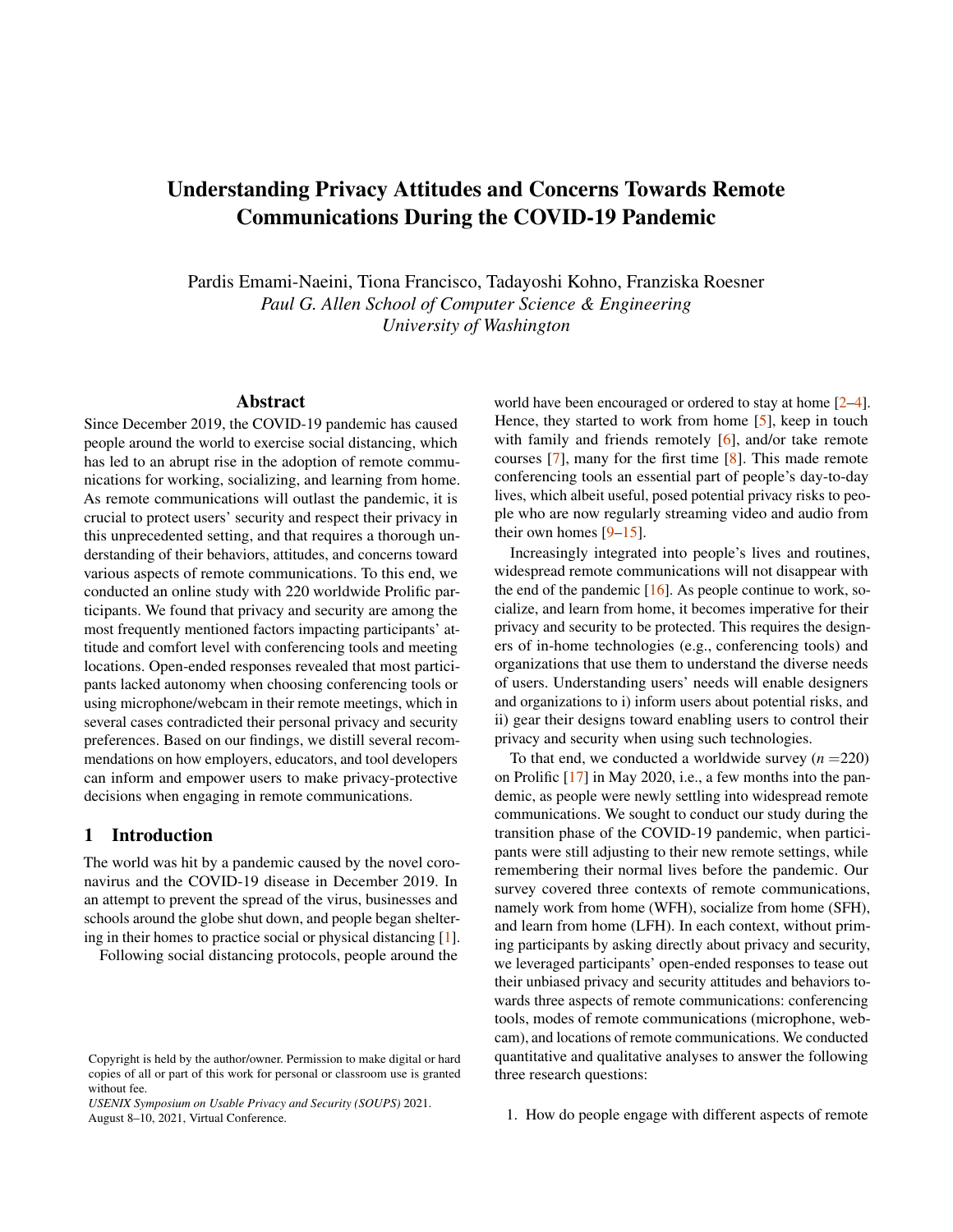# Understanding Privacy Attitudes and Concerns Towards Remote Communications During the COVID-19 Pandemic

Pardis Emami-Naeini, Tiona Francisco, Tadayoshi Kohno, Franziska Roesner *Paul G. Allen School of Computer Science & Engineering University of Washington*

### Abstract

Since December 2019, the COVID-19 pandemic has caused people around the world to exercise social distancing, which has led to an abrupt rise in the adoption of remote communications for working, socializing, and learning from home. As remote communications will outlast the pandemic, it is crucial to protect users' security and respect their privacy in this unprecedented setting, and that requires a thorough understanding of their behaviors, attitudes, and concerns toward various aspects of remote communications. To this end, we conducted an online study with 220 worldwide Prolific participants. We found that privacy and security are among the most frequently mentioned factors impacting participants' attitude and comfort level with conferencing tools and meeting locations. Open-ended responses revealed that most participants lacked autonomy when choosing conferencing tools or using microphone/webcam in their remote meetings, which in several cases contradicted their personal privacy and security preferences. Based on our findings, we distill several recommendations on how employers, educators, and tool developers can inform and empower users to make privacy-protective decisions when engaging in remote communications.

## 1 Introduction

The world was hit by a pandemic caused by the novel coronavirus and the COVID-19 disease in December 2019. In an attempt to prevent the spread of the virus, businesses and schools around the globe shut down, and people began sheltering in their homes to practice social or physical distancing [\[1\]](#page-12-0).

Following social distancing protocols, people around the

*USENIX Symposium on Usable Privacy and Security (SOUPS)* 2021. August 8–10, 2021, Virtual Conference.

world have been encouraged or ordered to stay at home [\[2](#page-12-1)[–4\]](#page-12-2). Hence, they started to work from home [\[5\]](#page-12-3), keep in touch with family and friends remotely [\[6\]](#page-12-4), and/or take remote courses [\[7\]](#page-12-5), many for the first time [\[8\]](#page-12-6). This made remote conferencing tools an essential part of people's day-to-day lives, which albeit useful, posed potential privacy risks to people who are now regularly streaming video and audio from their own homes  $[9-15]$  $[9-15]$ .

Increasingly integrated into people's lives and routines, widespread remote communications will not disappear with the end of the pandemic  $[16]$ . As people continue to work, socialize, and learn from home, it becomes imperative for their privacy and security to be protected. This requires the designers of in-home technologies (e.g., conferencing tools) and organizations that use them to understand the diverse needs of users. Understanding users' needs will enable designers and organizations to i) inform users about potential risks, and ii) gear their designs toward enabling users to control their privacy and security when using such technologies.

To that end, we conducted a worldwide survey  $(n = 220)$ on Prolific [\[17\]](#page-12-10) in May 2020, i.e., a few months into the pandemic, as people were newly settling into widespread remote communications. We sought to conduct our study during the transition phase of the COVID-19 pandemic, when participants were still adjusting to their new remote settings, while remembering their normal lives before the pandemic. Our survey covered three contexts of remote communications, namely work from home (WFH), socialize from home (SFH), and learn from home (LFH). In each context, without priming participants by asking directly about privacy and security, we leveraged participants' open-ended responses to tease out their unbiased privacy and security attitudes and behaviors towards three aspects of remote communications: conferencing tools, modes of remote communications (microphone, webcam), and locations of remote communications. We conducted quantitative and qualitative analyses to answer the following three research questions:

1. How do people engage with different aspects of remote

Copyright is held by the author/owner. Permission to make digital or hard copies of all or part of this work for personal or classroom use is granted without fee.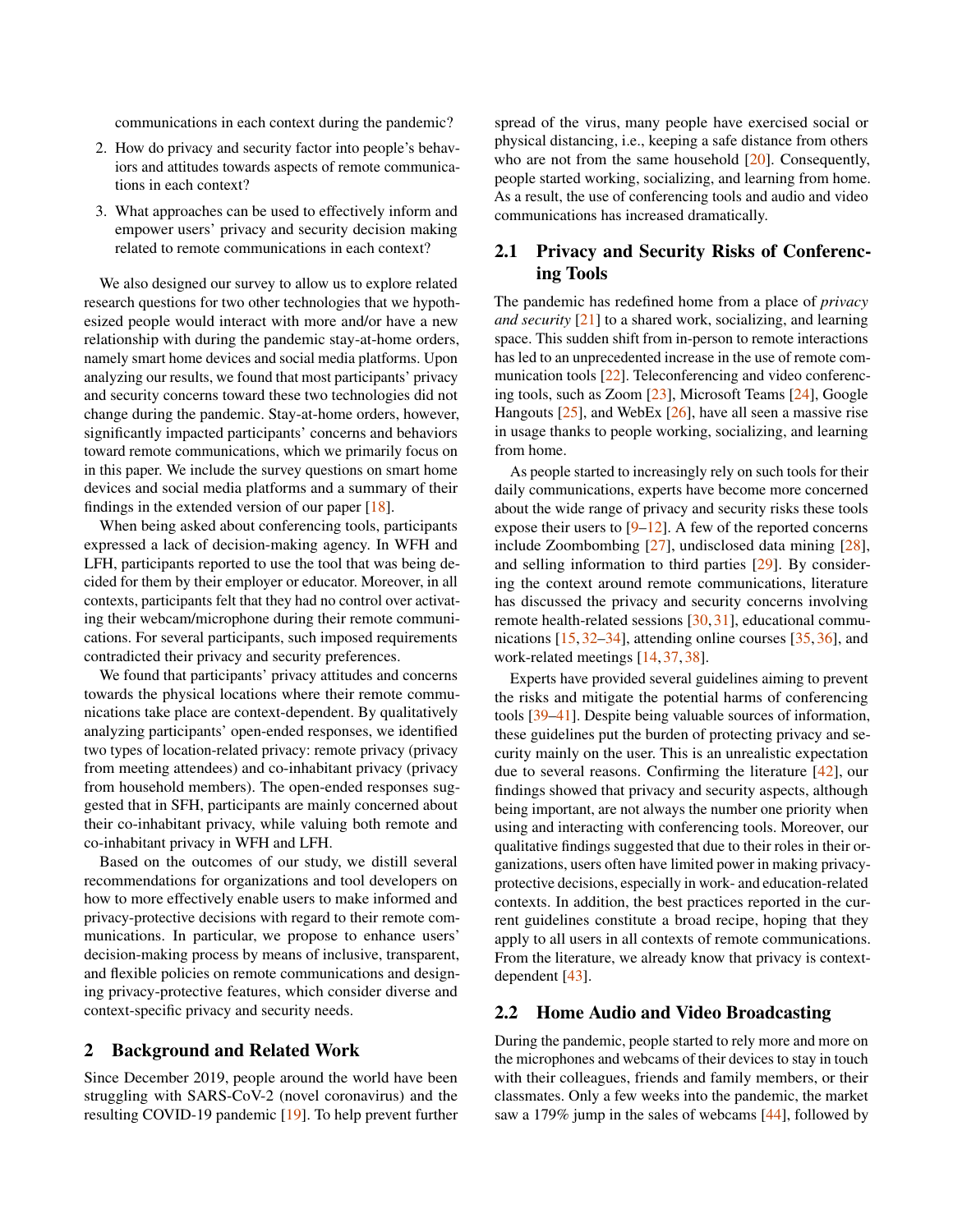communications in each context during the pandemic?

- 2. How do privacy and security factor into people's behaviors and attitudes towards aspects of remote communications in each context?
- 3. What approaches can be used to effectively inform and empower users' privacy and security decision making related to remote communications in each context?

We also designed our survey to allow us to explore related research questions for two other technologies that we hypothesized people would interact with more and/or have a new relationship with during the pandemic stay-at-home orders, namely smart home devices and social media platforms. Upon analyzing our results, we found that most participants' privacy and security concerns toward these two technologies did not change during the pandemic. Stay-at-home orders, however, significantly impacted participants' concerns and behaviors toward remote communications, which we primarily focus on in this paper. We include the survey questions on smart home devices and social media platforms and a summary of their findings in the extended version of our paper  $[18]$ .

When being asked about conferencing tools, participants expressed a lack of decision-making agency. In WFH and LFH, participants reported to use the tool that was being decided for them by their employer or educator. Moreover, in all contexts, participants felt that they had no control over activating their webcam/microphone during their remote communications. For several participants, such imposed requirements contradicted their privacy and security preferences.

We found that participants' privacy attitudes and concerns towards the physical locations where their remote communications take place are context-dependent. By qualitatively analyzing participants' open-ended responses, we identified two types of location-related privacy: remote privacy (privacy from meeting attendees) and co-inhabitant privacy (privacy from household members). The open-ended responses suggested that in SFH, participants are mainly concerned about their co-inhabitant privacy, while valuing both remote and co-inhabitant privacy in WFH and LFH.

Based on the outcomes of our study, we distill several recommendations for organizations and tool developers on how to more effectively enable users to make informed and privacy-protective decisions with regard to their remote communications. In particular, we propose to enhance users' decision-making process by means of inclusive, transparent, and flexible policies on remote communications and designing privacy-protective features, which consider diverse and context-specific privacy and security needs.

## 2 Background and Related Work

Since December 2019, people around the world have been struggling with SARS-CoV-2 (novel coronavirus) and the resulting COVID-19 pandemic [\[19\]](#page-12-12). To help prevent further

spread of the virus, many people have exercised social or physical distancing, i.e., keeping a safe distance from others who are not from the same household [\[20\]](#page-13-0). Consequently, people started working, socializing, and learning from home. As a result, the use of conferencing tools and audio and video communications has increased dramatically.

## 2.1 Privacy and Security Risks of Conferencing Tools

The pandemic has redefined home from a place of *privacy and security* [\[21\]](#page-13-1) to a shared work, socializing, and learning space. This sudden shift from in-person to remote interactions has led to an unprecedented increase in the use of remote communication tools [\[22\]](#page-13-2). Teleconferencing and video conferencing tools, such as Zoom [\[23\]](#page-13-3), Microsoft Teams [\[24\]](#page-13-4), Google Hangouts [\[25\]](#page-13-5), and WebEx [\[26\]](#page-13-6), have all seen a massive rise in usage thanks to people working, socializing, and learning from home.

As people started to increasingly rely on such tools for their daily communications, experts have become more concerned about the wide range of privacy and security risks these tools expose their users to  $[9-12]$  $[9-12]$ . A few of the reported concerns include Zoombombing [\[27\]](#page-13-7), undisclosed data mining [\[28\]](#page-13-8), and selling information to third parties [\[29\]](#page-13-9). By considering the context around remote communications, literature has discussed the privacy and security concerns involving remote health-related sessions [\[30,](#page-13-10) [31\]](#page-13-11), educational communications [\[15,](#page-12-8) [32](#page-13-12)[–34\]](#page-13-13), attending online courses [\[35,](#page-13-14) [36\]](#page-13-15), and work-related meetings [\[14,](#page-12-14) [37,](#page-13-16) [38\]](#page-13-17).

Experts have provided several guidelines aiming to prevent the risks and mitigate the potential harms of conferencing tools [\[39–](#page-13-18)[41\]](#page-13-19). Despite being valuable sources of information, these guidelines put the burden of protecting privacy and security mainly on the user. This is an unrealistic expectation due to several reasons. Confirming the literature [\[42\]](#page-13-20), our findings showed that privacy and security aspects, although being important, are not always the number one priority when using and interacting with conferencing tools. Moreover, our qualitative findings suggested that due to their roles in their organizations, users often have limited power in making privacyprotective decisions, especially in work- and education-related contexts. In addition, the best practices reported in the current guidelines constitute a broad recipe, hoping that they apply to all users in all contexts of remote communications. From the literature, we already know that privacy is contextdependent [\[43\]](#page-14-0).

## 2.2 Home Audio and Video Broadcasting

During the pandemic, people started to rely more and more on the microphones and webcams of their devices to stay in touch with their colleagues, friends and family members, or their classmates. Only a few weeks into the pandemic, the market saw a 179% jump in the sales of webcams [\[44\]](#page-14-1), followed by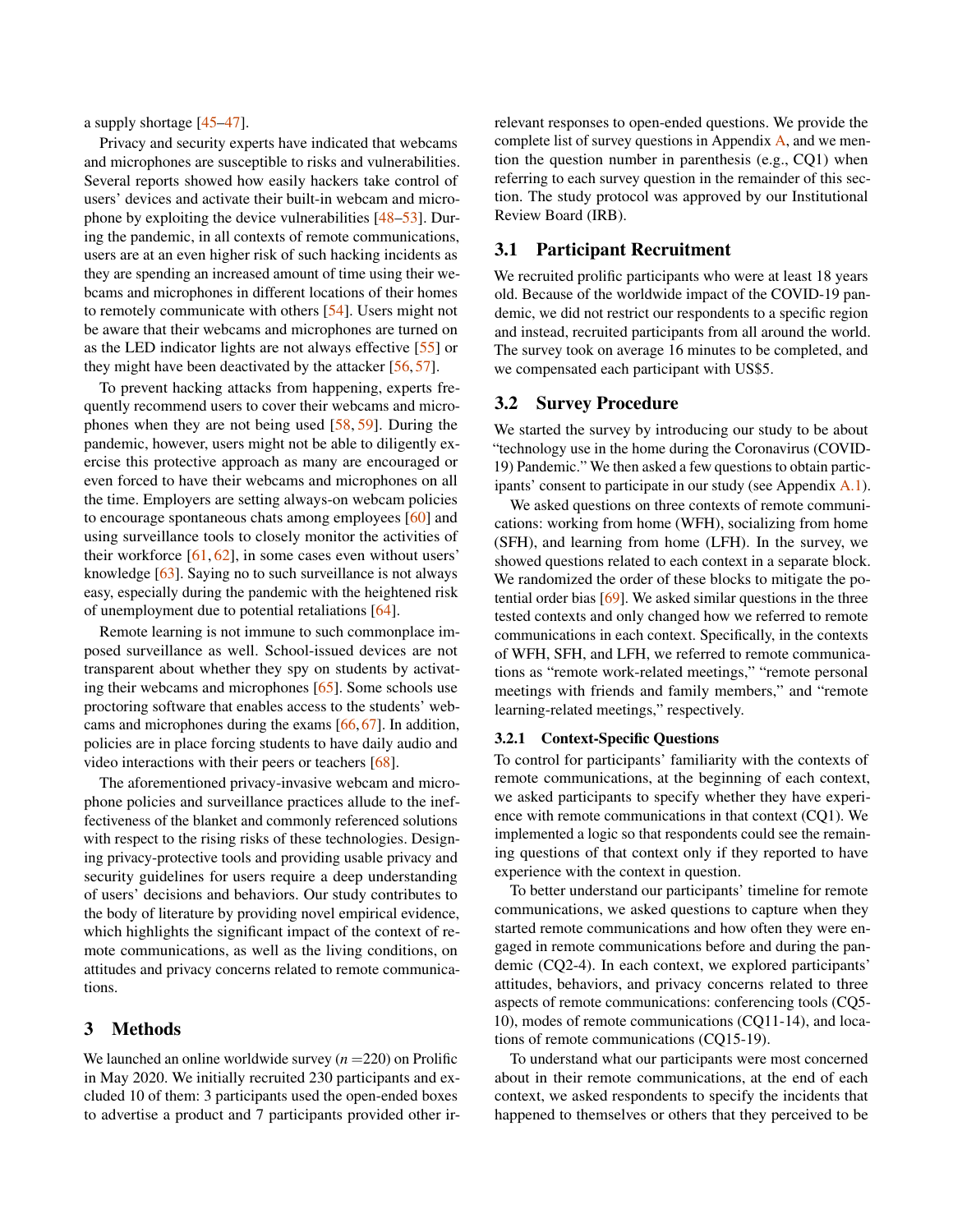a supply shortage [\[45](#page-14-2)[–47\]](#page-14-3).

Privacy and security experts have indicated that webcams and microphones are susceptible to risks and vulnerabilities. Several reports showed how easily hackers take control of users' devices and activate their built-in webcam and microphone by exploiting the device vulnerabilities [\[48–](#page-14-4)[53\]](#page-14-5). During the pandemic, in all contexts of remote communications, users are at an even higher risk of such hacking incidents as they are spending an increased amount of time using their webcams and microphones in different locations of their homes to remotely communicate with others [\[54\]](#page-14-6). Users might not be aware that their webcams and microphones are turned on as the LED indicator lights are not always effective [\[55\]](#page-14-7) or they might have been deactivated by the attacker [\[56,](#page-14-8) [57\]](#page-14-9).

To prevent hacking attacks from happening, experts frequently recommend users to cover their webcams and microphones when they are not being used [\[58,](#page-14-10) [59\]](#page-14-11). During the pandemic, however, users might not be able to diligently exercise this protective approach as many are encouraged or even forced to have their webcams and microphones on all the time. Employers are setting always-on webcam policies to encourage spontaneous chats among employees [\[60\]](#page-14-12) and using surveillance tools to closely monitor the activities of their workforce [\[61,](#page-14-13) [62\]](#page-15-0), in some cases even without users' knowledge [\[63\]](#page-15-1). Saying no to such surveillance is not always easy, especially during the pandemic with the heightened risk of unemployment due to potential retaliations [\[64\]](#page-15-2).

Remote learning is not immune to such commonplace imposed surveillance as well. School-issued devices are not transparent about whether they spy on students by activating their webcams and microphones [\[65\]](#page-15-3). Some schools use proctoring software that enables access to the students' webcams and microphones during the exams [\[66,](#page-15-4) [67\]](#page-15-5). In addition, policies are in place forcing students to have daily audio and video interactions with their peers or teachers [\[68\]](#page-15-6).

The aforementioned privacy-invasive webcam and microphone policies and surveillance practices allude to the ineffectiveness of the blanket and commonly referenced solutions with respect to the rising risks of these technologies. Designing privacy-protective tools and providing usable privacy and security guidelines for users require a deep understanding of users' decisions and behaviors. Our study contributes to the body of literature by providing novel empirical evidence, which highlights the significant impact of the context of remote communications, as well as the living conditions, on attitudes and privacy concerns related to remote communications.

## 3 Methods

We launched an online worldwide survey  $(n = 220)$  on Prolific in May 2020. We initially recruited 230 participants and excluded 10 of them: 3 participants used the open-ended boxes to advertise a product and 7 participants provided other irrelevant responses to open-ended questions. We provide the complete list of survey questions in Appendix [A,](#page-16-0) and we mention the question number in parenthesis (e.g., CQ1) when referring to each survey question in the remainder of this section. The study protocol was approved by our Institutional Review Board (IRB).

## 3.1 Participant Recruitment

We recruited prolific participants who were at least 18 years old. Because of the worldwide impact of the COVID-19 pandemic, we did not restrict our respondents to a specific region and instead, recruited participants from all around the world. The survey took on average 16 minutes to be completed, and we compensated each participant with US\$5.

### 3.2 Survey Procedure

We started the survey by introducing our study to be about "technology use in the home during the Coronavirus (COVID-19) Pandemic." We then asked a few questions to obtain participants' consent to participate in our study (see Appendix [A.1\)](#page-16-1).

We asked questions on three contexts of remote communications: working from home (WFH), socializing from home (SFH), and learning from home (LFH). In the survey, we showed questions related to each context in a separate block. We randomized the order of these blocks to mitigate the potential order bias [\[69\]](#page-15-7). We asked similar questions in the three tested contexts and only changed how we referred to remote communications in each context. Specifically, in the contexts of WFH, SFH, and LFH, we referred to remote communications as "remote work-related meetings," "remote personal meetings with friends and family members," and "remote learning-related meetings," respectively.

### 3.2.1 Context-Specific Questions

To control for participants' familiarity with the contexts of remote communications, at the beginning of each context, we asked participants to specify whether they have experience with remote communications in that context (CQ1). We implemented a logic so that respondents could see the remaining questions of that context only if they reported to have experience with the context in question.

To better understand our participants' timeline for remote communications, we asked questions to capture when they started remote communications and how often they were engaged in remote communications before and during the pandemic (CQ2-4). In each context, we explored participants' attitudes, behaviors, and privacy concerns related to three aspects of remote communications: conferencing tools (CQ5- 10), modes of remote communications (CQ11-14), and locations of remote communications (CQ15-19).

To understand what our participants were most concerned about in their remote communications, at the end of each context, we asked respondents to specify the incidents that happened to themselves or others that they perceived to be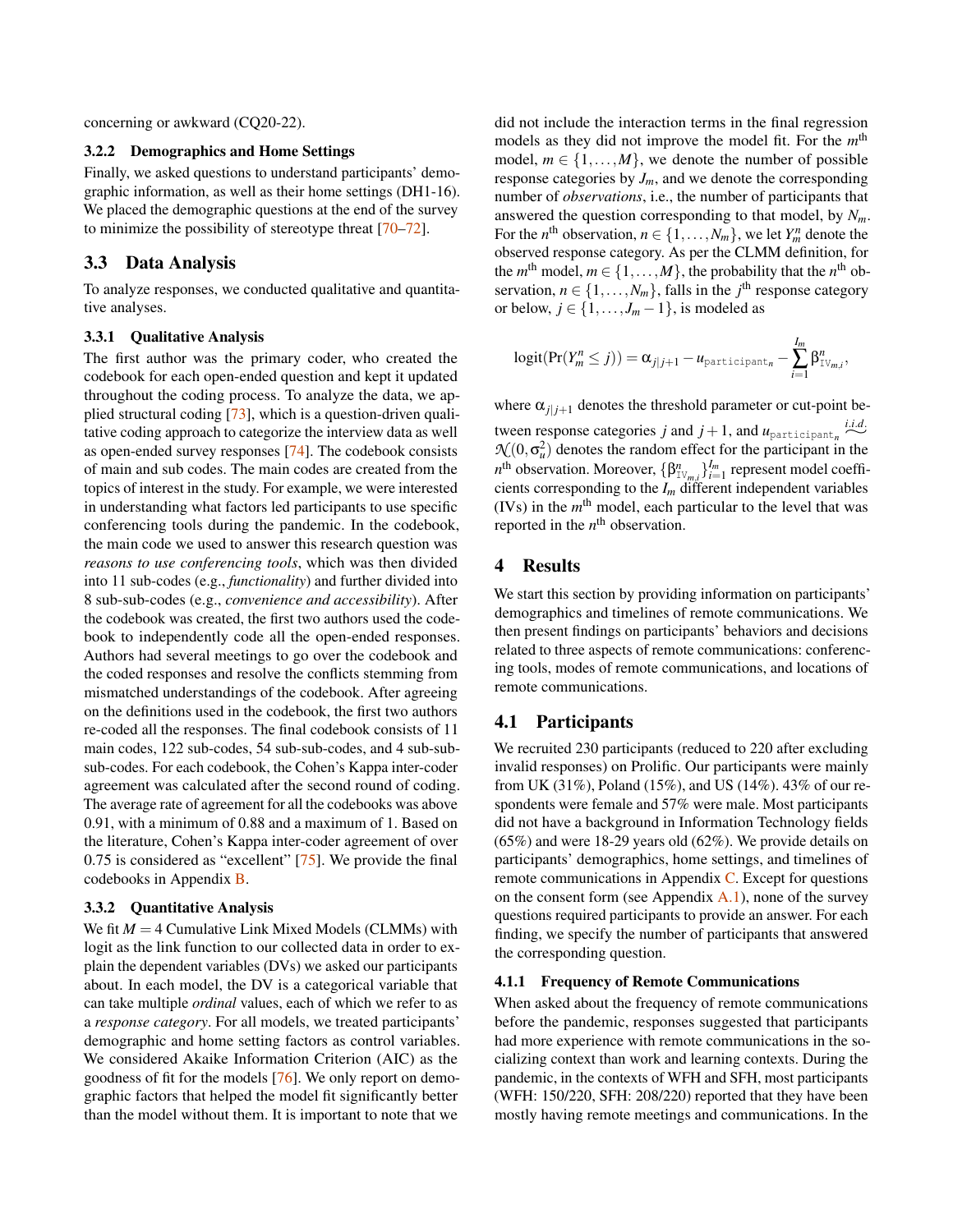concerning or awkward (CQ20-22).

### 3.2.2 Demographics and Home Settings

Finally, we asked questions to understand participants' demographic information, as well as their home settings (DH1-16). We placed the demographic questions at the end of the survey to minimize the possibility of stereotype threat [\[70–](#page-15-8)[72\]](#page-15-9).

## 3.3 Data Analysis

To analyze responses, we conducted qualitative and quantitative analyses.

#### 3.3.1 Qualitative Analysis

The first author was the primary coder, who created the codebook for each open-ended question and kept it updated throughout the coding process. To analyze the data, we applied structural coding [\[73\]](#page-15-10), which is a question-driven qualitative coding approach to categorize the interview data as well as open-ended survey responses [\[74\]](#page-15-11). The codebook consists of main and sub codes. The main codes are created from the topics of interest in the study. For example, we were interested in understanding what factors led participants to use specific conferencing tools during the pandemic. In the codebook, the main code we used to answer this research question was *reasons to use conferencing tools*, which was then divided into 11 sub-codes (e.g., *functionality*) and further divided into 8 sub-sub-codes (e.g., *convenience and accessibility*). After the codebook was created, the first two authors used the codebook to independently code all the open-ended responses. Authors had several meetings to go over the codebook and the coded responses and resolve the conflicts stemming from mismatched understandings of the codebook. After agreeing on the definitions used in the codebook, the first two authors re-coded all the responses. The final codebook consists of 11 main codes, 122 sub-codes, 54 sub-sub-codes, and 4 sub-subsub-codes. For each codebook, the Cohen's Kappa inter-coder agreement was calculated after the second round of coding. The average rate of agreement for all the codebooks was above 0.91, with a minimum of 0.88 and a maximum of 1. Based on the literature, Cohen's Kappa inter-coder agreement of over 0.75 is considered as "excellent" [\[75\]](#page-15-12). We provide the final codebooks in Appendix [B.](#page-18-0)

### 3.3.2 Quantitative Analysis

We fit  $M = 4$  Cumulative Link Mixed Models (CLMMs) with logit as the link function to our collected data in order to explain the dependent variables (DVs) we asked our participants about. In each model, the DV is a categorical variable that can take multiple *ordinal* values, each of which we refer to as a *response category*. For all models, we treated participants' demographic and home setting factors as control variables. We considered Akaike Information Criterion (AIC) as the goodness of fit for the models [\[76\]](#page-15-13). We only report on demographic factors that helped the model fit significantly better than the model without them. It is important to note that we

did not include the interaction terms in the final regression models as they did not improve the model fit. For the  $m<sup>th</sup>$ model,  $m \in \{1, \ldots, M\}$ , we denote the number of possible response categories by  $J_m$ , and we denote the corresponding number of *observations*, i.e., the number of participants that answered the question corresponding to that model, by *Nm*. For the *n*<sup>th</sup> observation,  $n \in \{1, ..., N_m\}$ , we let  $Y_m^n$  denote the observed response category. As per the CLMM definition, for the *m*<sup>th</sup> model,  $m \in \{1, ..., M\}$ , the probability that the *n*<sup>th</sup> observation,  $n \in \{1, \ldots, N_m\}$ , falls in the *j*<sup>th</sup> response category or below,  $j \in \{1, \ldots, J_m - 1\}$ , is modeled as

$$
logit(Pr(Y_m^n \leq j)) = \alpha_{j|j+1} - u_{participant_n} - \sum_{i=1}^{I_m} \beta_{\text{IV}_{m,i}}^n,
$$

where  $\alpha_{j}$ <sub> $j+1$ </sub> denotes the threshold parameter or cut-point between response categories *j* and  $j + 1$ , and  $u_{participant_n}$ *i*.*i*.*d*.  $\mathcal{N}(0, \sigma_u^2)$  denotes the random effect for the participant in the *n*<sup>th</sup> observation. Moreover,  $\{\beta^n_{\text{IV}_{m,i}}\}_{i=1}^{I_m}$  represent model coefficients corresponding to the  $I_m$  different independent variables (IVs) in the *m* th model, each particular to the level that was reported in the  $n^{\text{th}}$  observation.

## 4 Results

We start this section by providing information on participants' demographics and timelines of remote communications. We then present findings on participants' behaviors and decisions related to three aspects of remote communications: conferencing tools, modes of remote communications, and locations of remote communications.

### 4.1 Participants

We recruited 230 participants (reduced to 220 after excluding invalid responses) on Prolific. Our participants were mainly from UK (31%), Poland (15%), and US (14%). 43% of our respondents were female and 57% were male. Most participants did not have a background in Information Technology fields (65%) and were 18-29 years old (62%). We provide details on participants' demographics, home settings, and timelines of remote communications in Appendix [C.](#page-18-1) Except for questions on the consent form (see Appendix  $A(1)$ , none of the survey questions required participants to provide an answer. For each finding, we specify the number of participants that answered the corresponding question.

#### 4.1.1 Frequency of Remote Communications

When asked about the frequency of remote communications before the pandemic, responses suggested that participants had more experience with remote communications in the socializing context than work and learning contexts. During the pandemic, in the contexts of WFH and SFH, most participants (WFH: 150/220, SFH: 208/220) reported that they have been mostly having remote meetings and communications. In the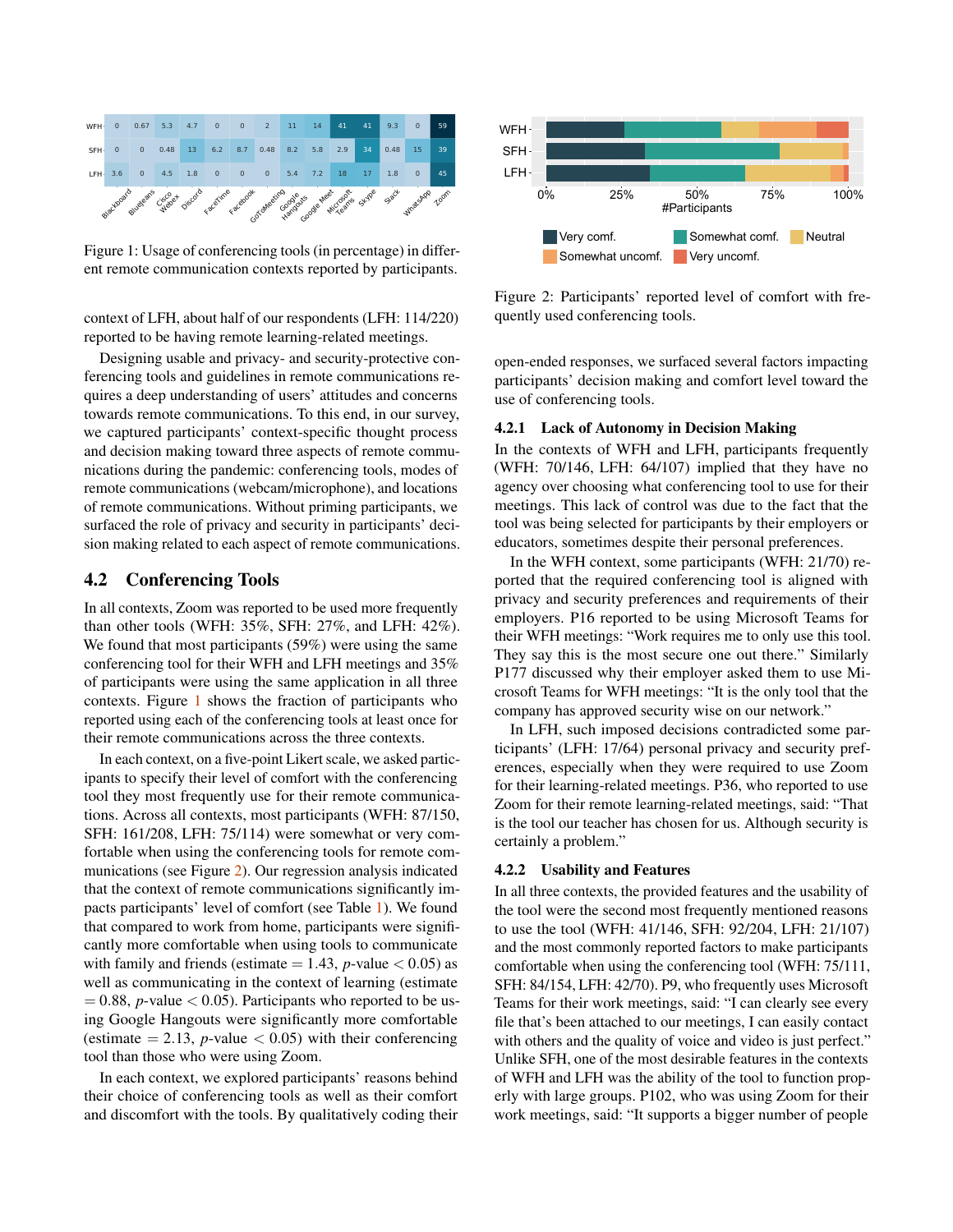<span id="page-4-0"></span>

Figure 1: Usage of conferencing tools (in percentage) in different remote communication contexts reported by participants.

context of LFH, about half of our respondents (LFH: 114/220) reported to be having remote learning-related meetings.

Designing usable and privacy- and security-protective conferencing tools and guidelines in remote communications requires a deep understanding of users' attitudes and concerns towards remote communications. To this end, in our survey, we captured participants' context-specific thought process and decision making toward three aspects of remote communications during the pandemic: conferencing tools, modes of remote communications (webcam/microphone), and locations of remote communications. Without priming participants, we surfaced the role of privacy and security in participants' decision making related to each aspect of remote communications.

## 4.2 Conferencing Tools

In all contexts, Zoom was reported to be used more frequently than other tools (WFH: 35%, SFH: 27%, and LFH: 42%). We found that most participants (59%) were using the same conferencing tool for their WFH and LFH meetings and 35% of participants were using the same application in all three contexts. Figure [1](#page-4-0) shows the fraction of participants who reported using each of the conferencing tools at least once for their remote communications across the three contexts.

In each context, on a five-point Likert scale, we asked participants to specify their level of comfort with the conferencing tool they most frequently use for their remote communications. Across all contexts, most participants (WFH: 87/150, SFH: 161/208, LFH: 75/114) were somewhat or very comfortable when using the conferencing tools for remote communications (see Figure [2\)](#page-4-1). Our regression analysis indicated that the context of remote communications significantly impacts participants' level of comfort (see Table [1\)](#page-5-0). We found that compared to work from home, participants were significantly more comfortable when using tools to communicate with family and friends (estimate  $= 1.43$ , *p*-value  $< 0.05$ ) as well as communicating in the context of learning (estimate  $= 0.88$ , *p*-value  $< 0.05$ ). Participants who reported to be using Google Hangouts were significantly more comfortable (estimate  $= 2.13$ , *p*-value  $< 0.05$ ) with their conferencing tool than those who were using Zoom.

In each context, we explored participants' reasons behind their choice of conferencing tools as well as their comfort and discomfort with the tools. By qualitatively coding their

<span id="page-4-1"></span>

Figure 2: Participants' reported level of comfort with frequently used conferencing tools.

open-ended responses, we surfaced several factors impacting participants' decision making and comfort level toward the use of conferencing tools.

#### <span id="page-4-2"></span>4.2.1 Lack of Autonomy in Decision Making

In the contexts of WFH and LFH, participants frequently (WFH: 70/146, LFH: 64/107) implied that they have no agency over choosing what conferencing tool to use for their meetings. This lack of control was due to the fact that the tool was being selected for participants by their employers or educators, sometimes despite their personal preferences.

In the WFH context, some participants (WFH: 21/70) reported that the required conferencing tool is aligned with privacy and security preferences and requirements of their employers. P16 reported to be using Microsoft Teams for their WFH meetings: "Work requires me to only use this tool. They say this is the most secure one out there." Similarly P177 discussed why their employer asked them to use Microsoft Teams for WFH meetings: "It is the only tool that the company has approved security wise on our network."

In LFH, such imposed decisions contradicted some participants' (LFH: 17/64) personal privacy and security preferences, especially when they were required to use Zoom for their learning-related meetings. P36, who reported to use Zoom for their remote learning-related meetings, said: "That is the tool our teacher has chosen for us. Although security is certainly a problem."

#### 4.2.2 Usability and Features

In all three contexts, the provided features and the usability of the tool were the second most frequently mentioned reasons to use the tool (WFH: 41/146, SFH: 92/204, LFH: 21/107) and the most commonly reported factors to make participants comfortable when using the conferencing tool (WFH: 75/111, SFH: 84/154, LFH: 42/70). P9, who frequently uses Microsoft Teams for their work meetings, said: "I can clearly see every file that's been attached to our meetings, I can easily contact with others and the quality of voice and video is just perfect." Unlike SFH, one of the most desirable features in the contexts of WFH and LFH was the ability of the tool to function properly with large groups. P102, who was using Zoom for their work meetings, said: "It supports a bigger number of people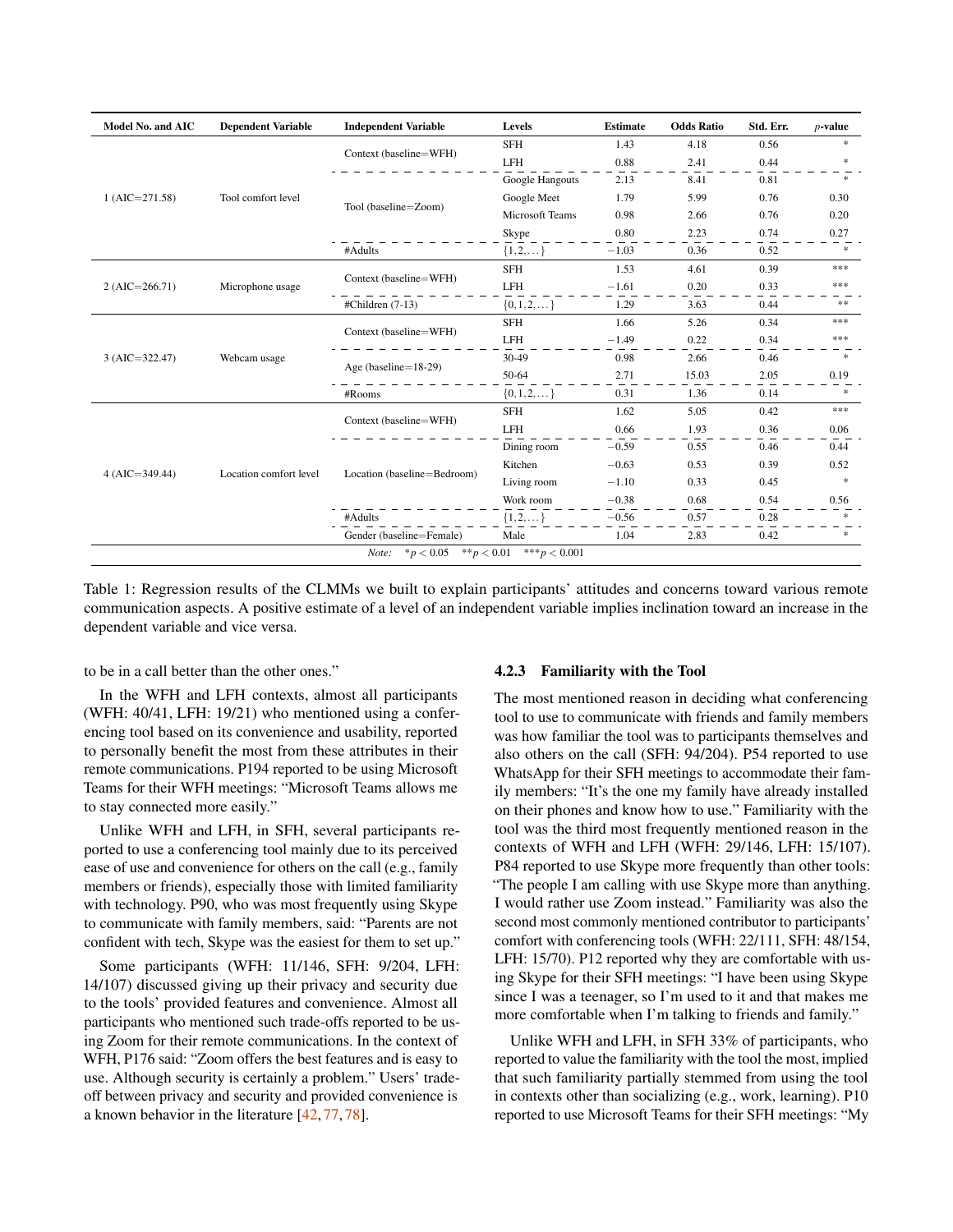<span id="page-5-0"></span>

| <b>Model No. and AIC</b>                                                                                                                                                                                                                                                                                                                                                                                                                                                                                                                                                                                                                                                                                                                                                                                                                                                                                                       | <b>Dependent Variable</b>                                                                                                                             | <b>Independent Variable</b> | Levels          | <b>Estimate</b> | <b>Odds Ratio</b> | Std. Err. | $p$ -value    |  |  |
|--------------------------------------------------------------------------------------------------------------------------------------------------------------------------------------------------------------------------------------------------------------------------------------------------------------------------------------------------------------------------------------------------------------------------------------------------------------------------------------------------------------------------------------------------------------------------------------------------------------------------------------------------------------------------------------------------------------------------------------------------------------------------------------------------------------------------------------------------------------------------------------------------------------------------------|-------------------------------------------------------------------------------------------------------------------------------------------------------|-----------------------------|-----------------|-----------------|-------------------|-----------|---------------|--|--|
|                                                                                                                                                                                                                                                                                                                                                                                                                                                                                                                                                                                                                                                                                                                                                                                                                                                                                                                                |                                                                                                                                                       |                             | <b>SFH</b>      | 1.43            | 4.18              | 0.56      | $*$           |  |  |
|                                                                                                                                                                                                                                                                                                                                                                                                                                                                                                                                                                                                                                                                                                                                                                                                                                                                                                                                |                                                                                                                                                       |                             | <b>LFH</b>      | 0.88            | 2.41              | 0.44      | $\ast$        |  |  |
|                                                                                                                                                                                                                                                                                                                                                                                                                                                                                                                                                                                                                                                                                                                                                                                                                                                                                                                                |                                                                                                                                                       |                             | Google Hangouts | 2.13            | 8.41              | 0.81      | $\ast$        |  |  |
| Context (baseline=WFH)<br>Google Meet<br>1.79<br>$1 (AIC = 271.58)$<br>Tool comfort level<br>Tool (baseline=Zoom)<br><b>Microsoft Teams</b><br>0.98<br>Skype<br>0.80<br>#Adults<br>$\{1, 2, \}$<br>$-1.03$<br><b>SFH</b><br>1.53<br>Context (baseline=WFH)<br>LFH<br>Microphone usage<br>$-1.61$<br>$2 (AIC = 266.71)$<br>$\{0, 1, 2, \dots\}$<br>1.29<br>#Children (7-13)<br><b>SFH</b><br>1.66<br>Context (baseline=WFH)<br>LFH<br>$-1.49$<br>30-49<br>Webcam usage<br>0.98<br>$3 (AIC = 322.47)$<br>Age (baseline= $18-29$ )<br>50-64<br>2.71<br>$\{0,1,2,\}$<br>0.31<br>#Rooms<br><b>SFH</b><br>1.62<br>Context (baseline=WFH)<br><b>LFH</b><br>0.66<br>Dining room<br>$-0.59$<br>Kitchen<br>$-0.63$<br>Location (baseline=Bedroom)<br>Location comfort level<br>$4 (AIC = 349.44)$<br>Living room<br>$-1.10$<br>Work room<br>$-0.38$<br>$\{1,2,\dots\}$<br>$-0.56$<br>#Adults<br>Gender (baseline=Female)<br>Male<br>1.04 |                                                                                                                                                       | 5.99                        | 0.76            | 0.30            |                   |           |               |  |  |
|                                                                                                                                                                                                                                                                                                                                                                                                                                                                                                                                                                                                                                                                                                                                                                                                                                                                                                                                | 2.66<br>2.23<br>0.36<br>4.61<br>0.20<br>3.63<br>5.26<br>0.22<br>2.66<br>15.03<br>1.36<br>5.05<br>1.93<br>0.55<br>0.53<br>0.33<br>0.68<br>0.57<br>2.83 | 0.76                        | 0.20            |                 |                   |           |               |  |  |
|                                                                                                                                                                                                                                                                                                                                                                                                                                                                                                                                                                                                                                                                                                                                                                                                                                                                                                                                |                                                                                                                                                       | 0.74                        | 0.27            |                 |                   |           |               |  |  |
|                                                                                                                                                                                                                                                                                                                                                                                                                                                                                                                                                                                                                                                                                                                                                                                                                                                                                                                                |                                                                                                                                                       |                             |                 |                 |                   | 0.52      | $\frac{1}{2}$ |  |  |
|                                                                                                                                                                                                                                                                                                                                                                                                                                                                                                                                                                                                                                                                                                                                                                                                                                                                                                                                |                                                                                                                                                       |                             |                 |                 |                   | 0.39      | ***           |  |  |
|                                                                                                                                                                                                                                                                                                                                                                                                                                                                                                                                                                                                                                                                                                                                                                                                                                                                                                                                |                                                                                                                                                       |                             |                 |                 |                   | 0.33      | ***           |  |  |
|                                                                                                                                                                                                                                                                                                                                                                                                                                                                                                                                                                                                                                                                                                                                                                                                                                                                                                                                |                                                                                                                                                       |                             |                 |                 |                   | 0.44      | **            |  |  |
|                                                                                                                                                                                                                                                                                                                                                                                                                                                                                                                                                                                                                                                                                                                                                                                                                                                                                                                                |                                                                                                                                                       |                             |                 |                 |                   | 0.34      | ***           |  |  |
|                                                                                                                                                                                                                                                                                                                                                                                                                                                                                                                                                                                                                                                                                                                                                                                                                                                                                                                                |                                                                                                                                                       |                             |                 |                 |                   | 0.34      | ***           |  |  |
|                                                                                                                                                                                                                                                                                                                                                                                                                                                                                                                                                                                                                                                                                                                                                                                                                                                                                                                                |                                                                                                                                                       |                             |                 |                 |                   | 0.46      | $\frac{1}{2}$ |  |  |
|                                                                                                                                                                                                                                                                                                                                                                                                                                                                                                                                                                                                                                                                                                                                                                                                                                                                                                                                | <i>Note:</i> $* p < 0.05$ $* p < 0.01$ $* p < 0.001$                                                                                                  | 2.05                        | 0.19            |                 |                   |           |               |  |  |
|                                                                                                                                                                                                                                                                                                                                                                                                                                                                                                                                                                                                                                                                                                                                                                                                                                                                                                                                |                                                                                                                                                       |                             | 0.14            | $*$             |                   |           |               |  |  |
|                                                                                                                                                                                                                                                                                                                                                                                                                                                                                                                                                                                                                                                                                                                                                                                                                                                                                                                                |                                                                                                                                                       |                             |                 |                 |                   | 0.42      | ***           |  |  |
|                                                                                                                                                                                                                                                                                                                                                                                                                                                                                                                                                                                                                                                                                                                                                                                                                                                                                                                                |                                                                                                                                                       |                             |                 |                 |                   | 0.36      | 0.06          |  |  |
|                                                                                                                                                                                                                                                                                                                                                                                                                                                                                                                                                                                                                                                                                                                                                                                                                                                                                                                                |                                                                                                                                                       |                             |                 |                 |                   | 0.46      | 0.44          |  |  |
|                                                                                                                                                                                                                                                                                                                                                                                                                                                                                                                                                                                                                                                                                                                                                                                                                                                                                                                                |                                                                                                                                                       |                             |                 |                 |                   | 0.39      | 0.52          |  |  |
|                                                                                                                                                                                                                                                                                                                                                                                                                                                                                                                                                                                                                                                                                                                                                                                                                                                                                                                                |                                                                                                                                                       |                             |                 |                 |                   | 0.45      | $\ast$        |  |  |
|                                                                                                                                                                                                                                                                                                                                                                                                                                                                                                                                                                                                                                                                                                                                                                                                                                                                                                                                |                                                                                                                                                       |                             |                 |                 |                   | 0.54      | 0.56          |  |  |
|                                                                                                                                                                                                                                                                                                                                                                                                                                                                                                                                                                                                                                                                                                                                                                                                                                                                                                                                |                                                                                                                                                       |                             |                 |                 |                   | 0.28      |               |  |  |
|                                                                                                                                                                                                                                                                                                                                                                                                                                                                                                                                                                                                                                                                                                                                                                                                                                                                                                                                |                                                                                                                                                       |                             |                 |                 |                   | 0.42      | $\ast$        |  |  |
|                                                                                                                                                                                                                                                                                                                                                                                                                                                                                                                                                                                                                                                                                                                                                                                                                                                                                                                                |                                                                                                                                                       |                             |                 |                 |                   |           |               |  |  |

Table 1: Regression results of the CLMMs we built to explain participants' attitudes and concerns toward various remote communication aspects. A positive estimate of a level of an independent variable implies inclination toward an increase in the dependent variable and vice versa.

to be in a call better than the other ones."

In the WFH and LFH contexts, almost all participants (WFH: 40/41, LFH: 19/21) who mentioned using a conferencing tool based on its convenience and usability, reported to personally benefit the most from these attributes in their remote communications. P194 reported to be using Microsoft Teams for their WFH meetings: "Microsoft Teams allows me to stay connected more easily."

Unlike WFH and LFH, in SFH, several participants reported to use a conferencing tool mainly due to its perceived ease of use and convenience for others on the call (e.g., family members or friends), especially those with limited familiarity with technology. P90, who was most frequently using Skype to communicate with family members, said: "Parents are not confident with tech, Skype was the easiest for them to set up."

Some participants (WFH: 11/146, SFH: 9/204, LFH: 14/107) discussed giving up their privacy and security due to the tools' provided features and convenience. Almost all participants who mentioned such trade-offs reported to be using Zoom for their remote communications. In the context of WFH, P176 said: "Zoom offers the best features and is easy to use. Although security is certainly a problem." Users' tradeoff between privacy and security and provided convenience is a known behavior in the literature [\[42,](#page-13-20) [77,](#page-15-14) [78\]](#page-15-15).

#### 4.2.3 Familiarity with the Tool

The most mentioned reason in deciding what conferencing tool to use to communicate with friends and family members was how familiar the tool was to participants themselves and also others on the call (SFH: 94/204). P54 reported to use WhatsApp for their SFH meetings to accommodate their family members: "It's the one my family have already installed on their phones and know how to use." Familiarity with the tool was the third most frequently mentioned reason in the contexts of WFH and LFH (WFH: 29/146, LFH: 15/107). P84 reported to use Skype more frequently than other tools: "The people I am calling with use Skype more than anything. I would rather use Zoom instead." Familiarity was also the second most commonly mentioned contributor to participants' comfort with conferencing tools (WFH: 22/111, SFH: 48/154, LFH: 15/70). P12 reported why they are comfortable with using Skype for their SFH meetings: "I have been using Skype since I was a teenager, so I'm used to it and that makes me more comfortable when I'm talking to friends and family."

Unlike WFH and LFH, in SFH 33% of participants, who reported to value the familiarity with the tool the most, implied that such familiarity partially stemmed from using the tool in contexts other than socializing (e.g., work, learning). P10 reported to use Microsoft Teams for their SFH meetings: "My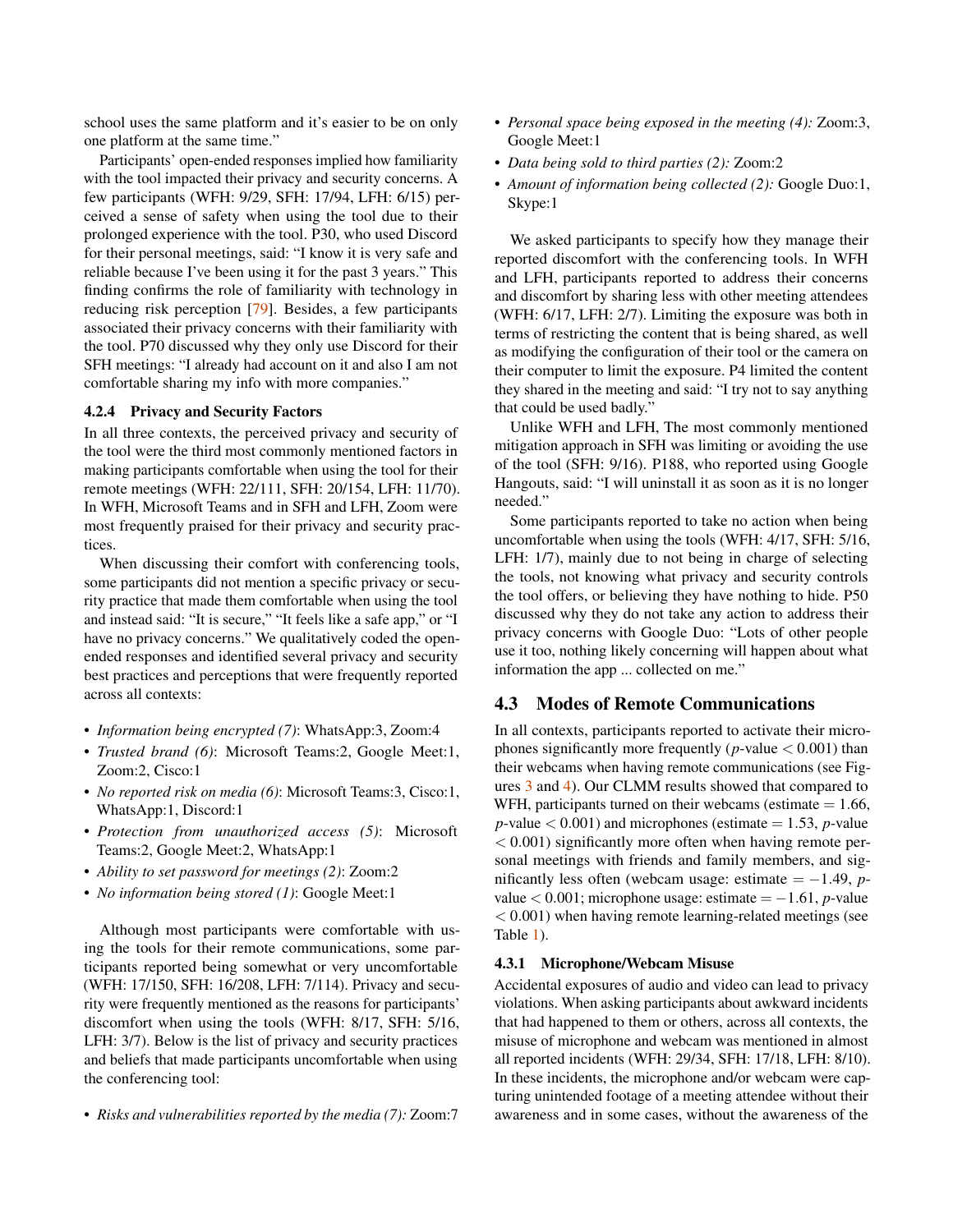school uses the same platform and it's easier to be on only one platform at the same time."

Participants' open-ended responses implied how familiarity with the tool impacted their privacy and security concerns. A few participants (WFH: 9/29, SFH: 17/94, LFH: 6/15) perceived a sense of safety when using the tool due to their prolonged experience with the tool. P30, who used Discord for their personal meetings, said: "I know it is very safe and reliable because I've been using it for the past 3 years." This finding confirms the role of familiarity with technology in reducing risk perception [\[79\]](#page-15-16). Besides, a few participants associated their privacy concerns with their familiarity with the tool. P70 discussed why they only use Discord for their SFH meetings: "I already had account on it and also I am not comfortable sharing my info with more companies."

### <span id="page-6-0"></span>4.2.4 Privacy and Security Factors

In all three contexts, the perceived privacy and security of the tool were the third most commonly mentioned factors in making participants comfortable when using the tool for their remote meetings (WFH: 22/111, SFH: 20/154, LFH: 11/70). In WFH, Microsoft Teams and in SFH and LFH, Zoom were most frequently praised for their privacy and security practices.

When discussing their comfort with conferencing tools, some participants did not mention a specific privacy or security practice that made them comfortable when using the tool and instead said: "It is secure," "It feels like a safe app," or "I have no privacy concerns." We qualitatively coded the openended responses and identified several privacy and security best practices and perceptions that were frequently reported across all contexts:

- *Information being encrypted (7)*: WhatsApp:3, Zoom:4
- *Trusted brand (6)*: Microsoft Teams:2, Google Meet:1, Zoom:2, Cisco:1
- *No reported risk on media (6)*: Microsoft Teams:3, Cisco:1, WhatsApp:1, Discord:1
- *Protection from unauthorized access (5)*: Microsoft Teams:2, Google Meet:2, WhatsApp:1
- *Ability to set password for meetings (2)*: Zoom:2
- *No information being stored (1)*: Google Meet:1

Although most participants were comfortable with using the tools for their remote communications, some participants reported being somewhat or very uncomfortable (WFH: 17/150, SFH: 16/208, LFH: 7/114). Privacy and security were frequently mentioned as the reasons for participants' discomfort when using the tools (WFH: 8/17, SFH: 5/16, LFH: 3/7). Below is the list of privacy and security practices and beliefs that made participants uncomfortable when using the conferencing tool:

• *Risks and vulnerabilities reported by the media (7):* Zoom:7

- *Personal space being exposed in the meeting (4):* Zoom:3, Google Meet:1
- *Data being sold to third parties (2):* Zoom:2
- *Amount of information being collected (2):* Google Duo:1, Skype:1

We asked participants to specify how they manage their reported discomfort with the conferencing tools. In WFH and LFH, participants reported to address their concerns and discomfort by sharing less with other meeting attendees (WFH: 6/17, LFH: 2/7). Limiting the exposure was both in terms of restricting the content that is being shared, as well as modifying the configuration of their tool or the camera on their computer to limit the exposure. P4 limited the content they shared in the meeting and said: "I try not to say anything that could be used badly."

Unlike WFH and LFH, The most commonly mentioned mitigation approach in SFH was limiting or avoiding the use of the tool (SFH: 9/16). P188, who reported using Google Hangouts, said: "I will uninstall it as soon as it is no longer needed."

Some participants reported to take no action when being uncomfortable when using the tools (WFH: 4/17, SFH: 5/16, LFH: 1/7), mainly due to not being in charge of selecting the tools, not knowing what privacy and security controls the tool offers, or believing they have nothing to hide. P50 discussed why they do not take any action to address their privacy concerns with Google Duo: "Lots of other people use it too, nothing likely concerning will happen about what information the app ... collected on me."

## 4.3 Modes of Remote Communications

In all contexts, participants reported to activate their microphones significantly more frequently ( $p$ -value  $< 0.001$ ) than their webcams when having remote communications (see Figures [3](#page-7-0) and [4\)](#page-7-1). Our CLMM results showed that compared to WFH, participants turned on their webcams (estimate  $= 1.66$ ,  $p$ -value  $< 0.001$ ) and microphones (estimate  $= 1.53$ ,  $p$ -value  $< 0.001$ ) significantly more often when having remote personal meetings with friends and family members, and significantly less often (webcam usage: estimate  $= -1.49$ , *p*value < 0.001; microphone usage: estimate = −1.61, *p*-value < 0.001) when having remote learning-related meetings (see Table [1\)](#page-5-0).

#### 4.3.1 Microphone/Webcam Misuse

Accidental exposures of audio and video can lead to privacy violations. When asking participants about awkward incidents that had happened to them or others, across all contexts, the misuse of microphone and webcam was mentioned in almost all reported incidents (WFH: 29/34, SFH: 17/18, LFH: 8/10). In these incidents, the microphone and/or webcam were capturing unintended footage of a meeting attendee without their awareness and in some cases, without the awareness of the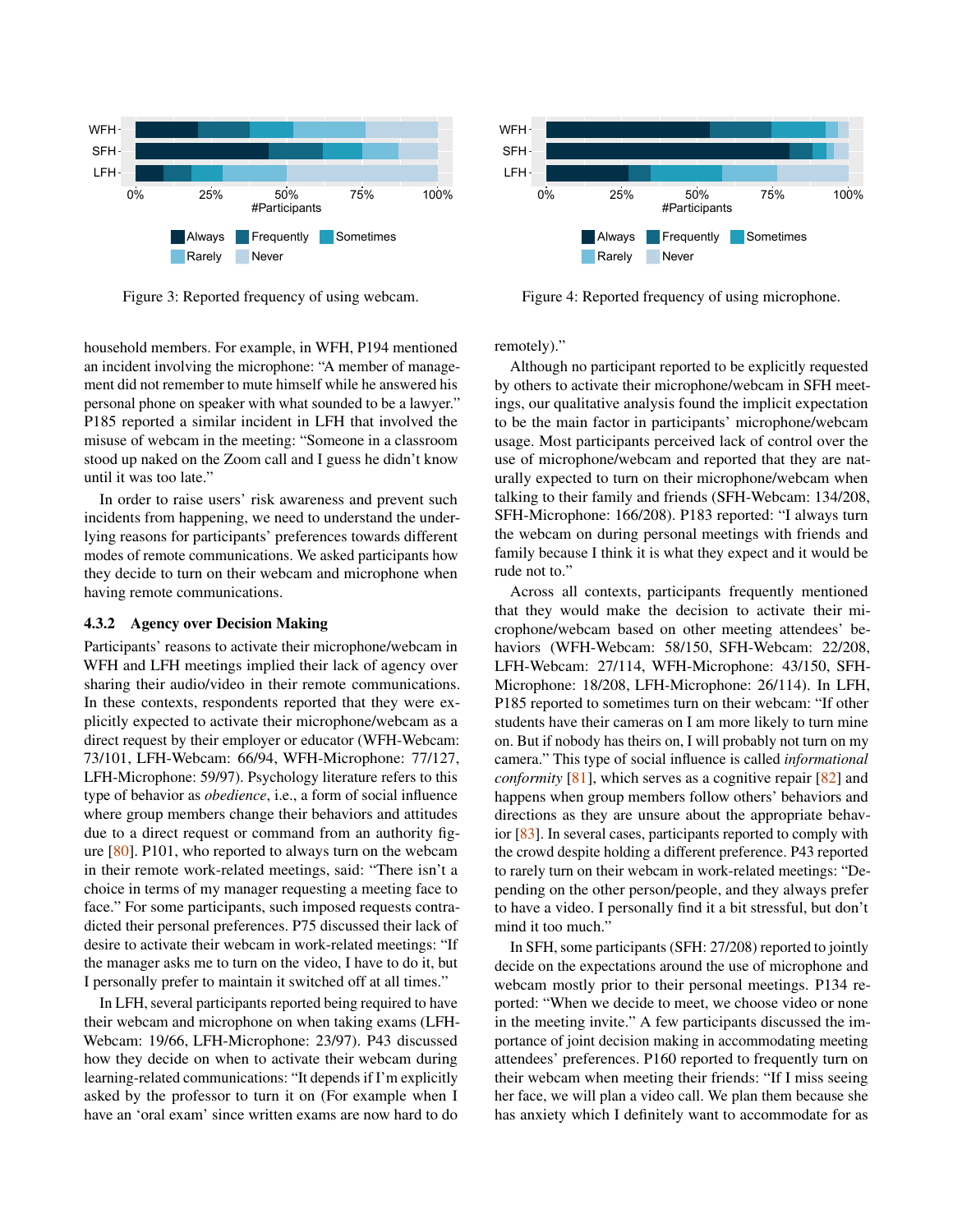<span id="page-7-0"></span>

Figure 3: Reported frequency of using webcam.

household members. For example, in WFH, P194 mentioned an incident involving the microphone: "A member of management did not remember to mute himself while he answered his personal phone on speaker with what sounded to be a lawyer." P185 reported a similar incident in LFH that involved the misuse of webcam in the meeting: "Someone in a classroom stood up naked on the Zoom call and I guess he didn't know until it was too late."

In order to raise users' risk awareness and prevent such incidents from happening, we need to understand the underlying reasons for participants' preferences towards different modes of remote communications. We asked participants how they decide to turn on their webcam and microphone when having remote communications.

#### <span id="page-7-2"></span>4.3.2 Agency over Decision Making

Participants' reasons to activate their microphone/webcam in WFH and LFH meetings implied their lack of agency over sharing their audio/video in their remote communications. In these contexts, respondents reported that they were explicitly expected to activate their microphone/webcam as a direct request by their employer or educator (WFH-Webcam: 73/101, LFH-Webcam: 66/94, WFH-Microphone: 77/127, LFH-Microphone: 59/97). Psychology literature refers to this type of behavior as *obedience*, i.e., a form of social influence where group members change their behaviors and attitudes due to a direct request or command from an authority figure [\[80\]](#page-15-17). P101, who reported to always turn on the webcam in their remote work-related meetings, said: "There isn't a choice in terms of my manager requesting a meeting face to face." For some participants, such imposed requests contradicted their personal preferences. P75 discussed their lack of desire to activate their webcam in work-related meetings: "If the manager asks me to turn on the video, I have to do it, but I personally prefer to maintain it switched off at all times."

In LFH, several participants reported being required to have their webcam and microphone on when taking exams (LFH-Webcam: 19/66, LFH-Microphone: 23/97). P43 discussed how they decide on when to activate their webcam during learning-related communications: "It depends if I'm explicitly asked by the professor to turn it on (For example when I have an 'oral exam' since written exams are now hard to do

<span id="page-7-1"></span>

Figure 4: Reported frequency of using microphone.

remotely)."

Although no participant reported to be explicitly requested by others to activate their microphone/webcam in SFH meetings, our qualitative analysis found the implicit expectation to be the main factor in participants' microphone/webcam usage. Most participants perceived lack of control over the use of microphone/webcam and reported that they are naturally expected to turn on their microphone/webcam when talking to their family and friends (SFH-Webcam: 134/208, SFH-Microphone: 166/208). P183 reported: "I always turn the webcam on during personal meetings with friends and family because I think it is what they expect and it would be rude not to."

Across all contexts, participants frequently mentioned that they would make the decision to activate their microphone/webcam based on other meeting attendees' behaviors (WFH-Webcam: 58/150, SFH-Webcam: 22/208, LFH-Webcam: 27/114, WFH-Microphone: 43/150, SFH-Microphone: 18/208, LFH-Microphone: 26/114). In LFH, P185 reported to sometimes turn on their webcam: "If other students have their cameras on I am more likely to turn mine on. But if nobody has theirs on, I will probably not turn on my camera." This type of social influence is called *informational conformity* [\[81\]](#page-15-18), which serves as a cognitive repair [\[82\]](#page-15-19) and happens when group members follow others' behaviors and directions as they are unsure about the appropriate behavior [\[83\]](#page-15-20). In several cases, participants reported to comply with the crowd despite holding a different preference. P43 reported to rarely turn on their webcam in work-related meetings: "Depending on the other person/people, and they always prefer to have a video. I personally find it a bit stressful, but don't mind it too much."

In SFH, some participants (SFH: 27/208) reported to jointly decide on the expectations around the use of microphone and webcam mostly prior to their personal meetings. P134 reported: "When we decide to meet, we choose video or none in the meeting invite." A few participants discussed the importance of joint decision making in accommodating meeting attendees' preferences. P160 reported to frequently turn on their webcam when meeting their friends: "If I miss seeing her face, we will plan a video call. We plan them because she has anxiety which I definitely want to accommodate for as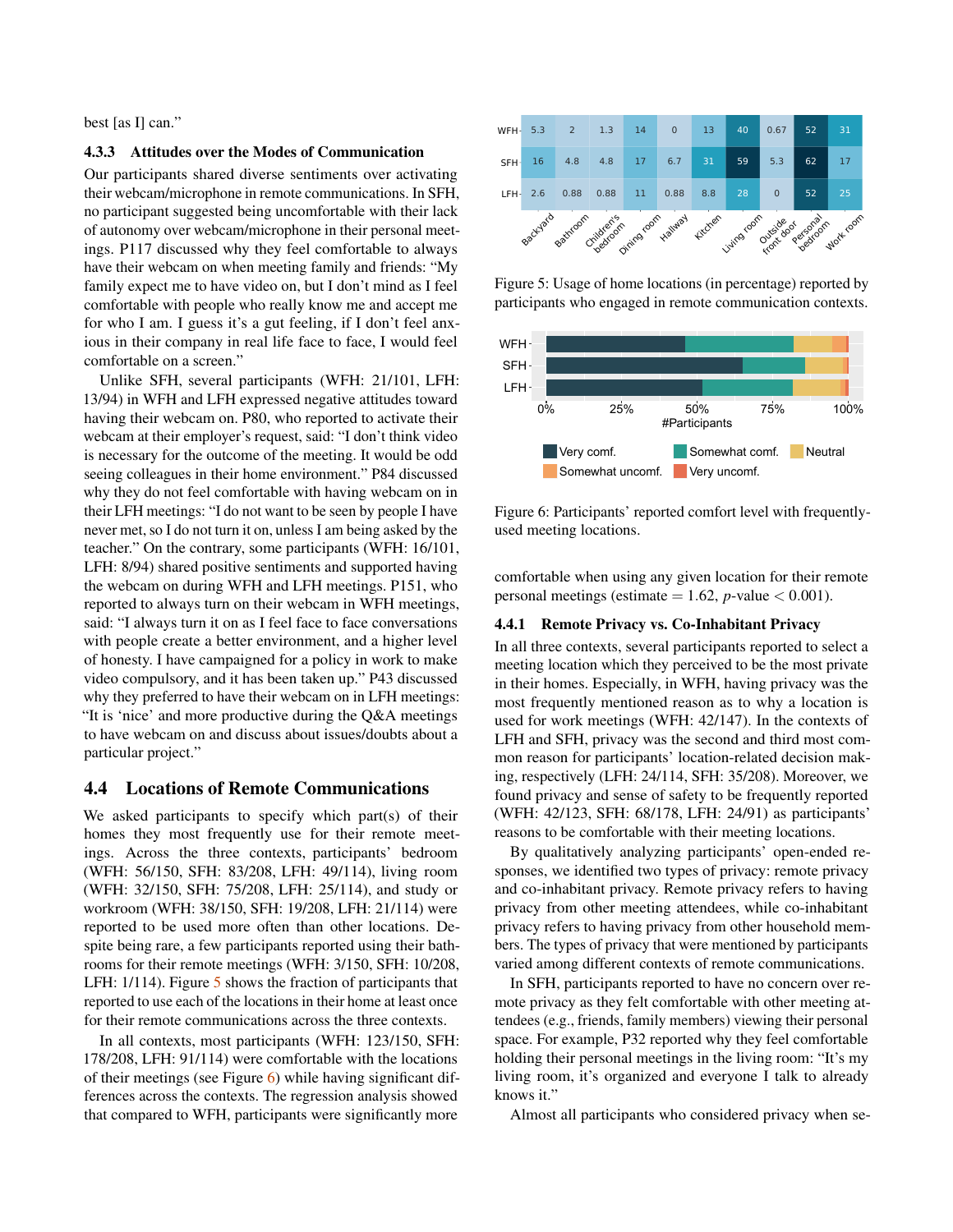best [as I] can."

#### 4.3.3 Attitudes over the Modes of Communication

Our participants shared diverse sentiments over activating their webcam/microphone in remote communications. In SFH, no participant suggested being uncomfortable with their lack of autonomy over webcam/microphone in their personal meetings. P117 discussed why they feel comfortable to always have their webcam on when meeting family and friends: "My family expect me to have video on, but I don't mind as I feel comfortable with people who really know me and accept me for who I am. I guess it's a gut feeling, if I don't feel anxious in their company in real life face to face, I would feel comfortable on a screen."

Unlike SFH, several participants (WFH: 21/101, LFH: 13/94) in WFH and LFH expressed negative attitudes toward having their webcam on. P80, who reported to activate their webcam at their employer's request, said: "I don't think video is necessary for the outcome of the meeting. It would be odd seeing colleagues in their home environment." P84 discussed why they do not feel comfortable with having webcam on in their LFH meetings: "I do not want to be seen by people I have never met, so I do not turn it on, unless I am being asked by the teacher." On the contrary, some participants (WFH: 16/101, LFH: 8/94) shared positive sentiments and supported having the webcam on during WFH and LFH meetings. P151, who reported to always turn on their webcam in WFH meetings, said: "I always turn it on as I feel face to face conversations with people create a better environment, and a higher level of honesty. I have campaigned for a policy in work to make video compulsory, and it has been taken up." P43 discussed why they preferred to have their webcam on in LFH meetings: "It is 'nice' and more productive during the Q&A meetings to have webcam on and discuss about issues/doubts about a particular project." For the method in the seate of the seate of the method with  $\frac{1}{2}$  and  $\frac{1}{2}$  and  $\frac{1}{2}$  and  $\frac{1}{2}$  and  $\frac{1}{2}$  and  $\frac{1}{2}$  and  $\frac{1}{2}$  and  $\frac{1}{2}$  and  $\frac{1}{2}$  and  $\frac{1}{2}$  and  $\frac{1}{2}$  and  $\frac{1}{2$ 

### 4.4 Locations of Remote Communications

We asked participants to specify which part(s) of their homes they most frequently use for their remote meetings. Across the three contexts, participants' bedroom (WFH: 56/150, SFH: 83/208, LFH: 49/114), living room (WFH: 32/150, SFH: 75/208, LFH: 25/114), and study or workroom (WFH: 38/150, SFH: 19/208, LFH: 21/114) were reported to be used more often than other locations. Despite being rare, a few participants reported using their bathrooms for their remote meetings (WFH: 3/150, SFH: 10/208, LFH: 1/114). Figure [5](#page-8-0) shows the fraction of participants that reported to use each of the locations in their home at least once for their remote communications across the three contexts.

In all contexts, most participants (WFH: 123/150, SFH: 178/208, LFH: 91/114) were comfortable with the locations of their meetings (see Figure  $\overline{6}$ ) while having significant differences across the contexts. The regression analysis showed

<span id="page-8-0"></span>

Figure 5: Usage of home locations (in percentage) reported by participants who engaged in remote communication contexts.

<span id="page-8-1"></span>

Figure 6: Participants' reported comfort level with frequentlyused meeting locations.

comfortable when using any given location for their remote personal meetings (estimate  $= 1.62$ , *p*-value  $< 0.001$ ).

## <span id="page-8-2"></span>4.4.1 Remote Privacy vs. Co-Inhabitant Privacy

In all three contexts, several participants reported to select a meeting location which they perceived to be the most private in their homes. Especially, in WFH, having privacy was the most frequently mentioned reason as to why a location is used for work meetings (WFH: 42/147). In the contexts of LFH and SFH, privacy was the second and third most common reason for participants' location-related decision making, respectively (LFH: 24/114, SFH: 35/208). Moreover, we found privacy and sense of safety to be frequently reported (WFH: 42/123, SFH: 68/178, LFH: 24/91) as participants' reasons to be comfortable with their meeting locations.

By qualitatively analyzing participants' open-ended responses, we identified two types of privacy: remote privacy and co-inhabitant privacy. Remote privacy refers to having privacy from other meeting attendees, while co-inhabitant privacy refers to having privacy from other household members. The types of privacy that were mentioned by participants varied among different contexts of remote communications.

In SFH, participants reported to have no concern over remote privacy as they felt comfortable with other meeting attendees (e.g., friends, family members) viewing their personal space. For example, P32 reported why they feel comfortable holding their personal meetings in the living room: "It's my living room, it's organized and everyone I talk to already knows it."

Almost all participants who considered privacy when se-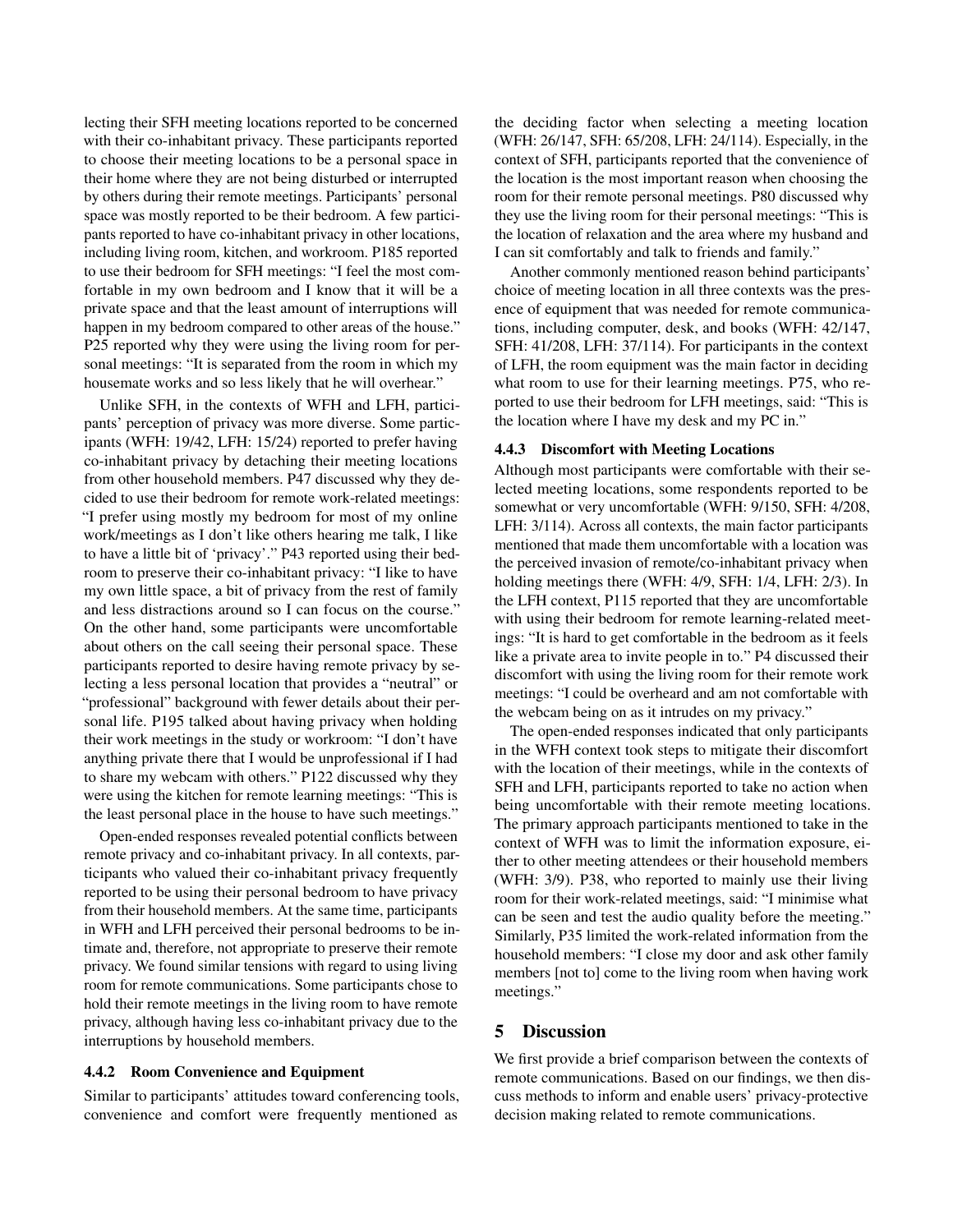lecting their SFH meeting locations reported to be concerned with their co-inhabitant privacy. These participants reported to choose their meeting locations to be a personal space in their home where they are not being disturbed or interrupted by others during their remote meetings. Participants' personal space was mostly reported to be their bedroom. A few participants reported to have co-inhabitant privacy in other locations, including living room, kitchen, and workroom. P185 reported to use their bedroom for SFH meetings: "I feel the most comfortable in my own bedroom and I know that it will be a private space and that the least amount of interruptions will happen in my bedroom compared to other areas of the house." P25 reported why they were using the living room for personal meetings: "It is separated from the room in which my housemate works and so less likely that he will overhear."

Unlike SFH, in the contexts of WFH and LFH, participants' perception of privacy was more diverse. Some participants (WFH: 19/42, LFH: 15/24) reported to prefer having co-inhabitant privacy by detaching their meeting locations from other household members. P47 discussed why they decided to use their bedroom for remote work-related meetings: "I prefer using mostly my bedroom for most of my online work/meetings as I don't like others hearing me talk, I like to have a little bit of 'privacy'." P43 reported using their bedroom to preserve their co-inhabitant privacy: "I like to have my own little space, a bit of privacy from the rest of family and less distractions around so I can focus on the course." On the other hand, some participants were uncomfortable about others on the call seeing their personal space. These participants reported to desire having remote privacy by selecting a less personal location that provides a "neutral" or "professional" background with fewer details about their personal life. P195 talked about having privacy when holding their work meetings in the study or workroom: "I don't have anything private there that I would be unprofessional if I had to share my webcam with others." P122 discussed why they were using the kitchen for remote learning meetings: "This is the least personal place in the house to have such meetings."

Open-ended responses revealed potential conflicts between remote privacy and co-inhabitant privacy. In all contexts, participants who valued their co-inhabitant privacy frequently reported to be using their personal bedroom to have privacy from their household members. At the same time, participants in WFH and LFH perceived their personal bedrooms to be intimate and, therefore, not appropriate to preserve their remote privacy. We found similar tensions with regard to using living room for remote communications. Some participants chose to hold their remote meetings in the living room to have remote privacy, although having less co-inhabitant privacy due to the interruptions by household members.

#### 4.4.2 Room Convenience and Equipment

Similar to participants' attitudes toward conferencing tools, convenience and comfort were frequently mentioned as

the deciding factor when selecting a meeting location (WFH: 26/147, SFH: 65/208, LFH: 24/114). Especially, in the context of SFH, participants reported that the convenience of the location is the most important reason when choosing the room for their remote personal meetings. P80 discussed why they use the living room for their personal meetings: "This is the location of relaxation and the area where my husband and I can sit comfortably and talk to friends and family."

Another commonly mentioned reason behind participants' choice of meeting location in all three contexts was the presence of equipment that was needed for remote communications, including computer, desk, and books (WFH: 42/147, SFH: 41/208, LFH: 37/114). For participants in the context of LFH, the room equipment was the main factor in deciding what room to use for their learning meetings. P75, who reported to use their bedroom for LFH meetings, said: "This is the location where I have my desk and my PC in."

#### 4.4.3 Discomfort with Meeting Locations

Although most participants were comfortable with their selected meeting locations, some respondents reported to be somewhat or very uncomfortable (WFH: 9/150, SFH: 4/208, LFH: 3/114). Across all contexts, the main factor participants mentioned that made them uncomfortable with a location was the perceived invasion of remote/co-inhabitant privacy when holding meetings there (WFH: 4/9, SFH: 1/4, LFH: 2/3). In the LFH context, P115 reported that they are uncomfortable with using their bedroom for remote learning-related meetings: "It is hard to get comfortable in the bedroom as it feels like a private area to invite people in to." P4 discussed their discomfort with using the living room for their remote work meetings: "I could be overheard and am not comfortable with the webcam being on as it intrudes on my privacy."

The open-ended responses indicated that only participants in the WFH context took steps to mitigate their discomfort with the location of their meetings, while in the contexts of SFH and LFH, participants reported to take no action when being uncomfortable with their remote meeting locations. The primary approach participants mentioned to take in the context of WFH was to limit the information exposure, either to other meeting attendees or their household members (WFH: 3/9). P38, who reported to mainly use their living room for their work-related meetings, said: "I minimise what can be seen and test the audio quality before the meeting." Similarly, P35 limited the work-related information from the household members: "I close my door and ask other family members [not to] come to the living room when having work meetings."

## 5 Discussion

We first provide a brief comparison between the contexts of remote communications. Based on our findings, we then discuss methods to inform and enable users' privacy-protective decision making related to remote communications.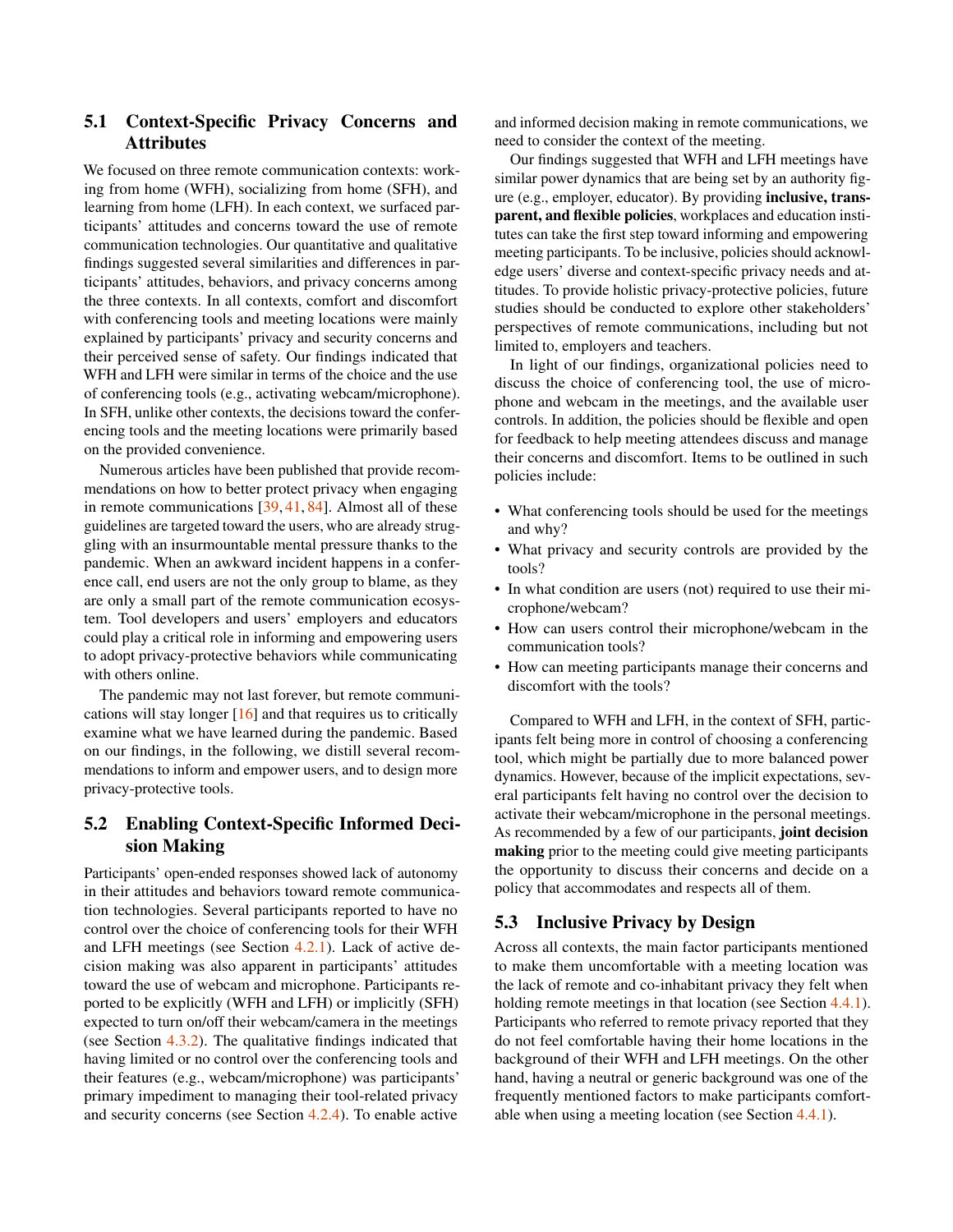## 5.1 Context-Specific Privacy Concerns and Attributes

We focused on three remote communication contexts: working from home (WFH), socializing from home (SFH), and learning from home (LFH). In each context, we surfaced participants' attitudes and concerns toward the use of remote communication technologies. Our quantitative and qualitative findings suggested several similarities and differences in participants' attitudes, behaviors, and privacy concerns among the three contexts. In all contexts, comfort and discomfort with conferencing tools and meeting locations were mainly explained by participants' privacy and security concerns and their perceived sense of safety. Our findings indicated that WFH and LFH were similar in terms of the choice and the use of conferencing tools (e.g., activating webcam/microphone). In SFH, unlike other contexts, the decisions toward the conferencing tools and the meeting locations were primarily based on the provided convenience.

Numerous articles have been published that provide recommendations on how to better protect privacy when engaging in remote communications [\[39,](#page-13-18) [41,](#page-13-19) [84\]](#page-15-21). Almost all of these guidelines are targeted toward the users, who are already struggling with an insurmountable mental pressure thanks to the pandemic. When an awkward incident happens in a conference call, end users are not the only group to blame, as they are only a small part of the remote communication ecosystem. Tool developers and users' employers and educators could play a critical role in informing and empowering users to adopt privacy-protective behaviors while communicating with others online.

The pandemic may not last forever, but remote communications will stay longer  $[16]$  and that requires us to critically examine what we have learned during the pandemic. Based on our findings, in the following, we distill several recommendations to inform and empower users, and to design more privacy-protective tools.

## 5.2 Enabling Context-Specific Informed Decision Making

Participants' open-ended responses showed lack of autonomy in their attitudes and behaviors toward remote communication technologies. Several participants reported to have no control over the choice of conferencing tools for their WFH and LFH meetings (see Section [4.2.1\)](#page-4-2). Lack of active decision making was also apparent in participants' attitudes toward the use of webcam and microphone. Participants reported to be explicitly (WFH and LFH) or implicitly (SFH) expected to turn on/off their webcam/camera in the meetings (see Section [4.3.2\)](#page-7-2). The qualitative findings indicated that having limited or no control over the conferencing tools and their features (e.g., webcam/microphone) was participants' primary impediment to managing their tool-related privacy and security concerns (see Section [4.2.4\)](#page-6-0). To enable active

and informed decision making in remote communications, we need to consider the context of the meeting.

Our findings suggested that WFH and LFH meetings have similar power dynamics that are being set by an authority figure (e.g., employer, educator). By providing inclusive, transparent, and flexible policies, workplaces and education institutes can take the first step toward informing and empowering meeting participants. To be inclusive, policies should acknowledge users' diverse and context-specific privacy needs and attitudes. To provide holistic privacy-protective policies, future studies should be conducted to explore other stakeholders' perspectives of remote communications, including but not limited to, employers and teachers.

In light of our findings, organizational policies need to discuss the choice of conferencing tool, the use of microphone and webcam in the meetings, and the available user controls. In addition, the policies should be flexible and open for feedback to help meeting attendees discuss and manage their concerns and discomfort. Items to be outlined in such policies include:

- What conferencing tools should be used for the meetings and why?
- What privacy and security controls are provided by the tools?
- In what condition are users (not) required to use their microphone/webcam?
- How can users control their microphone/webcam in the communication tools?
- How can meeting participants manage their concerns and discomfort with the tools?

Compared to WFH and LFH, in the context of SFH, participants felt being more in control of choosing a conferencing tool, which might be partially due to more balanced power dynamics. However, because of the implicit expectations, several participants felt having no control over the decision to activate their webcam/microphone in the personal meetings. As recommended by a few of our participants, joint decision making prior to the meeting could give meeting participants the opportunity to discuss their concerns and decide on a policy that accommodates and respects all of them.

## 5.3 Inclusive Privacy by Design

Across all contexts, the main factor participants mentioned to make them uncomfortable with a meeting location was the lack of remote and co-inhabitant privacy they felt when holding remote meetings in that location (see Section [4.4.1\)](#page-8-2). Participants who referred to remote privacy reported that they do not feel comfortable having their home locations in the background of their WFH and LFH meetings. On the other hand, having a neutral or generic background was one of the frequently mentioned factors to make participants comfortable when using a meeting location (see Section [4.4.1\)](#page-8-2).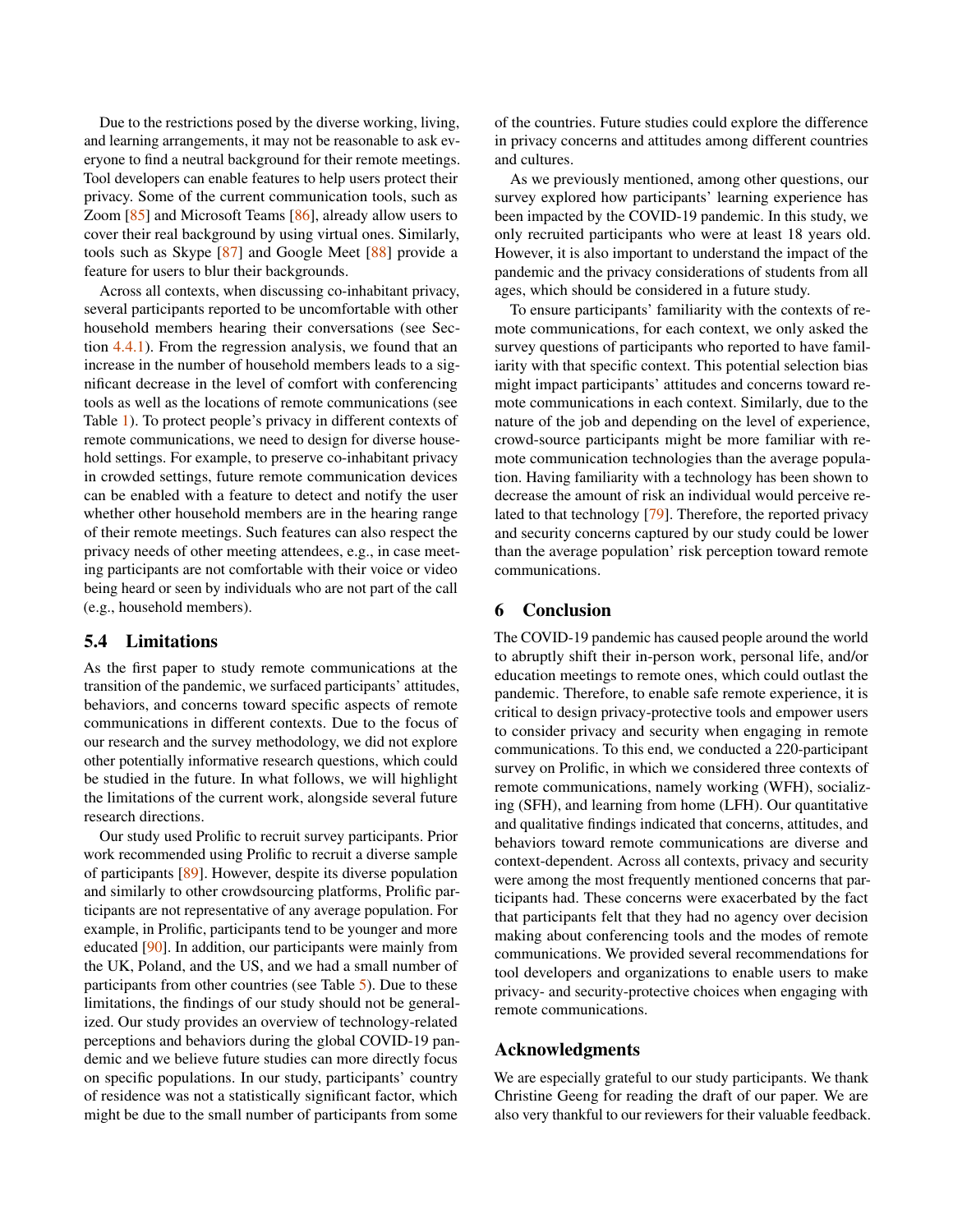Due to the restrictions posed by the diverse working, living, and learning arrangements, it may not be reasonable to ask everyone to find a neutral background for their remote meetings. Tool developers can enable features to help users protect their privacy. Some of the current communication tools, such as Zoom [\[85\]](#page-15-22) and Microsoft Teams [\[86\]](#page-16-2), already allow users to cover their real background by using virtual ones. Similarly, tools such as Skype [\[87\]](#page-16-3) and Google Meet [\[88\]](#page-16-4) provide a feature for users to blur their backgrounds.

Across all contexts, when discussing co-inhabitant privacy, several participants reported to be uncomfortable with other household members hearing their conversations (see Section [4.4.1\)](#page-8-2). From the regression analysis, we found that an increase in the number of household members leads to a significant decrease in the level of comfort with conferencing tools as well as the locations of remote communications (see Table [1\)](#page-5-0). To protect people's privacy in different contexts of remote communications, we need to design for diverse household settings. For example, to preserve co-inhabitant privacy in crowded settings, future remote communication devices can be enabled with a feature to detect and notify the user whether other household members are in the hearing range of their remote meetings. Such features can also respect the privacy needs of other meeting attendees, e.g., in case meeting participants are not comfortable with their voice or video being heard or seen by individuals who are not part of the call (e.g., household members).

## 5.4 Limitations

As the first paper to study remote communications at the transition of the pandemic, we surfaced participants' attitudes, behaviors, and concerns toward specific aspects of remote communications in different contexts. Due to the focus of our research and the survey methodology, we did not explore other potentially informative research questions, which could be studied in the future. In what follows, we will highlight the limitations of the current work, alongside several future research directions.

Our study used Prolific to recruit survey participants. Prior work recommended using Prolific to recruit a diverse sample of participants [\[89\]](#page-16-5). However, despite its diverse population and similarly to other crowdsourcing platforms, Prolific participants are not representative of any average population. For example, in Prolific, participants tend to be younger and more educated [\[90\]](#page-16-6). In addition, our participants were mainly from the UK, Poland, and the US, and we had a small number of participants from other countries (see Table [5\)](#page-19-0). Due to these limitations, the findings of our study should not be generalized. Our study provides an overview of technology-related perceptions and behaviors during the global COVID-19 pandemic and we believe future studies can more directly focus on specific populations. In our study, participants' country of residence was not a statistically significant factor, which might be due to the small number of participants from some

of the countries. Future studies could explore the difference in privacy concerns and attitudes among different countries and cultures.

As we previously mentioned, among other questions, our survey explored how participants' learning experience has been impacted by the COVID-19 pandemic. In this study, we only recruited participants who were at least 18 years old. However, it is also important to understand the impact of the pandemic and the privacy considerations of students from all ages, which should be considered in a future study.

To ensure participants' familiarity with the contexts of remote communications, for each context, we only asked the survey questions of participants who reported to have familiarity with that specific context. This potential selection bias might impact participants' attitudes and concerns toward remote communications in each context. Similarly, due to the nature of the job and depending on the level of experience, crowd-source participants might be more familiar with remote communication technologies than the average population. Having familiarity with a technology has been shown to decrease the amount of risk an individual would perceive related to that technology [\[79\]](#page-15-16). Therefore, the reported privacy and security concerns captured by our study could be lower than the average population' risk perception toward remote communications.

## 6 Conclusion

The COVID-19 pandemic has caused people around the world to abruptly shift their in-person work, personal life, and/or education meetings to remote ones, which could outlast the pandemic. Therefore, to enable safe remote experience, it is critical to design privacy-protective tools and empower users to consider privacy and security when engaging in remote communications. To this end, we conducted a 220-participant survey on Prolific, in which we considered three contexts of remote communications, namely working (WFH), socializing (SFH), and learning from home (LFH). Our quantitative and qualitative findings indicated that concerns, attitudes, and behaviors toward remote communications are diverse and context-dependent. Across all contexts, privacy and security were among the most frequently mentioned concerns that participants had. These concerns were exacerbated by the fact that participants felt that they had no agency over decision making about conferencing tools and the modes of remote communications. We provided several recommendations for tool developers and organizations to enable users to make privacy- and security-protective choices when engaging with remote communications.

## Acknowledgments

We are especially grateful to our study participants. We thank Christine Geeng for reading the draft of our paper. We are also very thankful to our reviewers for their valuable feedback.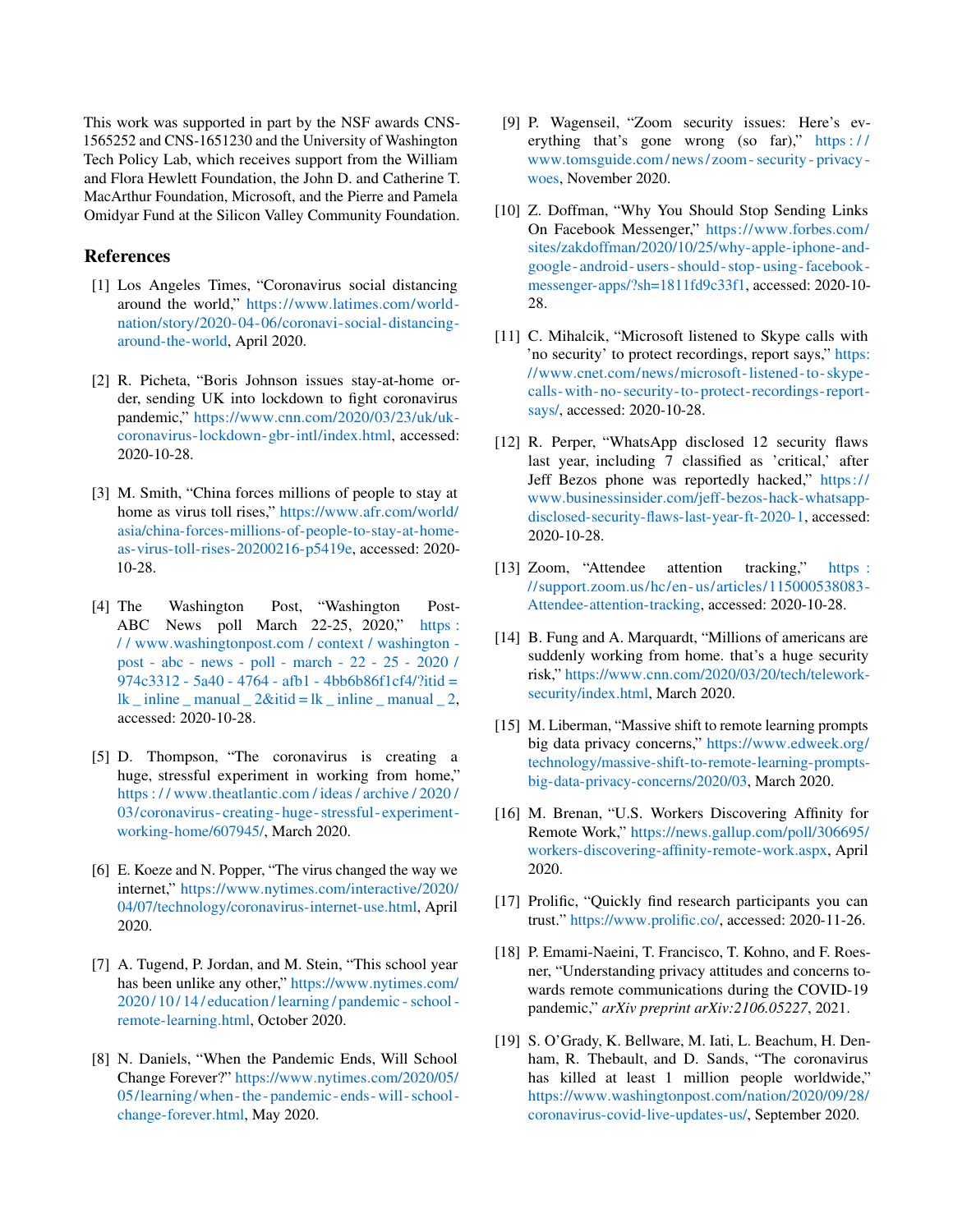This work was supported in part by the NSF awards CNS-1565252 and CNS-1651230 and the University of Washington Tech Policy Lab, which receives support from the William and Flora Hewlett Foundation, the John D. and Catherine T. MacArthur Foundation, Microsoft, and the Pierre and Pamela Omidyar Fund at the Silicon Valley Community Foundation.

## References

- <span id="page-12-0"></span>[1] Los Angeles Times, "Coronavirus social distancing around the world," [https://www](https://www.latimes.com/world-nation/story/2020-04-06/coronavi-social-distancing-around-the-world).latimes.com/world[nation/story/2020-04-06/coronavi-social-distancing](https://www.latimes.com/world-nation/story/2020-04-06/coronavi-social-distancing-around-the-world)[around-the-world,](https://www.latimes.com/world-nation/story/2020-04-06/coronavi-social-distancing-around-the-world) April 2020.
- <span id="page-12-1"></span>[2] R. Picheta, "Boris Johnson issues stay-at-home order, sending UK into lockdown to fight coronavirus pandemic," https://www.cnn.[com/2020/03/23/uk/uk](https://www.cnn.com/2020/03/23/uk/uk-coronavirus-lockdown-gbr-intl/index.html)[coronavirus-lockdown-gbr-intl/index](https://www.cnn.com/2020/03/23/uk/uk-coronavirus-lockdown-gbr-intl/index.html).html, accessed: 2020-10-28.
- [3] M. Smith, "China forces millions of people to stay at home as virus toll rises," [https://www](https://www.afr.com/world/asia/china-forces-millions-of-people-to-stay-at-home-as-virus-toll-rises-20200216-p5419e).afr.com/world/ [asia/china-forces-millions-of-people-to-stay-at-home](https://www.afr.com/world/asia/china-forces-millions-of-people-to-stay-at-home-as-virus-toll-rises-20200216-p5419e)[as-virus-toll-rises-20200216-p5419e,](https://www.afr.com/world/asia/china-forces-millions-of-people-to-stay-at-home-as-virus-toll-rises-20200216-p5419e) accessed: 2020- 10-28.
- <span id="page-12-2"></span>[4] The Washington Post, "Washington Post-ABC News poll March 22-25, 2020," https: / / www.washingtonpost.[com / context / washington](https://www.washingtonpost.com/context/washington-post-abc-news-poll-march-22-25-2020/974c3312-5a40-4764-afb1-4bb6b86f1cf4/?itid=lk_inline_manual_2&itid=lk_inline_manual_2)  [post - abc - news - poll - march - 22 - 25 - 2020 /](https://www.washingtonpost.com/context/washington-post-abc-news-poll-march-22-25-2020/974c3312-5a40-4764-afb1-4bb6b86f1cf4/?itid=lk_inline_manual_2&itid=lk_inline_manual_2) [974c3312 - 5a40 - 4764 - afb1 - 4bb6b86f1cf4/?itid =](https://www.washingtonpost.com/context/washington-post-abc-news-poll-march-22-25-2020/974c3312-5a40-4764-afb1-4bb6b86f1cf4/?itid=lk_inline_manual_2&itid=lk_inline_manual_2)  $lk$  inline \_ manual  $2\&$ itid = lk \_ inline \_ manual  $2$ , accessed: 2020-10-28.
- <span id="page-12-3"></span>[5] D. Thompson, "The coronavirus is creating a huge, stressful experiment in working from home," https : / / www.theatlantic.[com / ideas / archive / 2020 /](https://www.theatlantic.com/ideas/archive/2020/03/coronavirus-creating-huge-stressful-experiment-working-home/607945/) [03/coronavirus- creating- huge- stressful- experiment](https://www.theatlantic.com/ideas/archive/2020/03/coronavirus-creating-huge-stressful-experiment-working-home/607945/)[working-home/607945/,](https://www.theatlantic.com/ideas/archive/2020/03/coronavirus-creating-huge-stressful-experiment-working-home/607945/) March 2020.
- <span id="page-12-4"></span>[6] E. Koeze and N. Popper, "The virus changed the way we internet," https://www.nytimes.[com/interactive/2020/](https://www.nytimes.com/interactive/2020/04/07/technology/coronavirus-internet-use.html) [04/07/technology/coronavirus-internet-use](https://www.nytimes.com/interactive/2020/04/07/technology/coronavirus-internet-use.html).html, April 2020.
- <span id="page-12-5"></span>[7] A. Tugend, P. Jordan, and M. Stein, "This school year has been unlike any other," [https://www](https://www.nytimes.com/2020/10/14/education/learning/pandemic-school-remote-learning.html).nytimes.com/ [2020 / 10 / 14 / education / learning / pandemic - school](https://www.nytimes.com/2020/10/14/education/learning/pandemic-school-remote-learning.html)  [remote-learning](https://www.nytimes.com/2020/10/14/education/learning/pandemic-school-remote-learning.html).html, October 2020.
- <span id="page-12-6"></span>[8] N. Daniels, "When the Pandemic Ends, Will School Change Forever?" https://www.nytimes.[com/2020/05/](https://www.nytimes.com/2020/05/05/learning/when-the-pandemic-ends-will-school-change-forever.html) [05/learning/when -the - pandemic - ends - will - school](https://www.nytimes.com/2020/05/05/learning/when-the-pandemic-ends-will-school-change-forever.html)  [change-forever](https://www.nytimes.com/2020/05/05/learning/when-the-pandemic-ends-will-school-change-forever.html).html, May 2020.
- <span id="page-12-7"></span>[9] P. Wagenseil, "Zoom security issues: Here's everything that's gone wrong (so far)," https:// www.tomsguide.[com/ news/ zoom - security - privacy](https://www.tomsguide.com/news/zoom-security-privacy-woes)  [woes,](https://www.tomsguide.com/news/zoom-security-privacy-woes) November 2020.
- [10] Z. Doffman, "Why You Should Stop Sending Links On Facebook Messenger," [https://www](https://www.forbes.com/sites/zakdoffman/2020/10/25/why-apple-iphone-and-google-android-users-should-stop-using-facebook-messenger-apps/?sh=1811fd9c33f1).forbes.com/ [sites/zakdoffman/2020/10/25/why-apple-iphone-and](https://www.forbes.com/sites/zakdoffman/2020/10/25/why-apple-iphone-and-google-android-users-should-stop-using-facebook-messenger-apps/?sh=1811fd9c33f1)[google- android- users- should- stop- using- facebook](https://www.forbes.com/sites/zakdoffman/2020/10/25/why-apple-iphone-and-google-android-users-should-stop-using-facebook-messenger-apps/?sh=1811fd9c33f1)[messenger-apps/?sh=1811fd9c33f1,](https://www.forbes.com/sites/zakdoffman/2020/10/25/why-apple-iphone-and-google-android-users-should-stop-using-facebook-messenger-apps/?sh=1811fd9c33f1) accessed: 2020-10- 28.
- [11] C. Mihalcik, "Microsoft listened to Skype calls with 'no security' to protect recordings, report says," [https:](https://www.cnet.com/news/microsoft-listened-to-skype-calls-with-no-security-to-protect-recordings-report-says/) //www.cnet.[com/news/microsoft-listened-to- skype](https://www.cnet.com/news/microsoft-listened-to-skype-calls-with-no-security-to-protect-recordings-report-says/)[calls-with-no-security-to-protect- recordings- report](https://www.cnet.com/news/microsoft-listened-to-skype-calls-with-no-security-to-protect-recordings-report-says/)[says/,](https://www.cnet.com/news/microsoft-listened-to-skype-calls-with-no-security-to-protect-recordings-report-says/) accessed: 2020-10-28.
- <span id="page-12-13"></span>[12] R. Perper, "WhatsApp disclosed 12 security flaws last year, including 7 classified as 'critical,' after Jeff Bezos phone was reportedly hacked," [https://](https://www.businessinsider.com/jeff-bezos-hack-whatsapp-disclosed-security-flaws-last-year-ft-2020-1 ) www.businessinsider.[com/jeff-bezos-hack-whatsapp](https://www.businessinsider.com/jeff-bezos-hack-whatsapp-disclosed-security-flaws-last-year-ft-2020-1 )[disclosed-security-flaws-last-year-ft-2020-1,](https://www.businessinsider.com/jeff-bezos-hack-whatsapp-disclosed-security-flaws-last-year-ft-2020-1 ) accessed: 2020-10-28.
- [13] Zoom, "Attendee attention tracking," [https :](https://support.zoom.us/hc/en-us/articles/115000538083-Attendee-attention-tracking) //support.zoom.[us/hc/en- us/articles/115000538083-](https://support.zoom.us/hc/en-us/articles/115000538083-Attendee-attention-tracking) [Attendee-attention-tracking,](https://support.zoom.us/hc/en-us/articles/115000538083-Attendee-attention-tracking) accessed: 2020-10-28.
- <span id="page-12-14"></span>[14] B. Fung and A. Marquardt, "Millions of americans are suddenly working from home. that's a huge security risk," https://www.cnn.[com/2020/03/20/tech/telework](https://www.cnn.com/2020/03/20/tech/telework-security/index.html )[security/index](https://www.cnn.com/2020/03/20/tech/telework-security/index.html ).html, March 2020.
- <span id="page-12-8"></span>[15] M. Liberman, "Massive shift to remote learning prompts big data privacy concerns," [https://www](https://www.edweek.org/technology/massive-shift-to-remote-learning-prompts-big-data-privacy-concerns/2020/03 ).edweek.org/ [technology/massive-shift-to-remote-learning-prompts](https://www.edweek.org/technology/massive-shift-to-remote-learning-prompts-big-data-privacy-concerns/2020/03 )[big-data-privacy-concerns/2020/03,](https://www.edweek.org/technology/massive-shift-to-remote-learning-prompts-big-data-privacy-concerns/2020/03 ) March 2020.
- <span id="page-12-9"></span>[16] M. Brenan, "U.S. Workers Discovering Affinity for Remote Work," https://news.gallup.[com/poll/306695/](https://news.gallup.com/poll/306695/workers-discovering-affinity-remote-work.aspx) [workers-discovering-affinity-remote-work](https://news.gallup.com/poll/306695/workers-discovering-affinity-remote-work.aspx).aspx, April 2020.
- <span id="page-12-10"></span>[17] Prolific, "Quickly find research participants you can trust." [https://www](https://www.prolific.co/).prolific.co/, accessed: 2020-11-26.
- <span id="page-12-11"></span>[18] P. Emami-Naeini, T. Francisco, T. Kohno, and F. Roesner, "Understanding privacy attitudes and concerns towards remote communications during the COVID-19 pandemic," *arXiv preprint arXiv:2106.05227*, 2021.
- <span id="page-12-12"></span>[19] S. O'Grady, K. Bellware, M. Iati, L. Beachum, H. Denham, R. Thebault, and D. Sands, "The coronavirus has killed at least 1 million people worldwide," https://www.washingtonpost.[com/nation/2020/09/28/](https://www.washingtonpost.com/nation/2020/09/28/coronavirus-covid-live-updates-us/) [coronavirus-covid-live-updates-us/,](https://www.washingtonpost.com/nation/2020/09/28/coronavirus-covid-live-updates-us/) September 2020.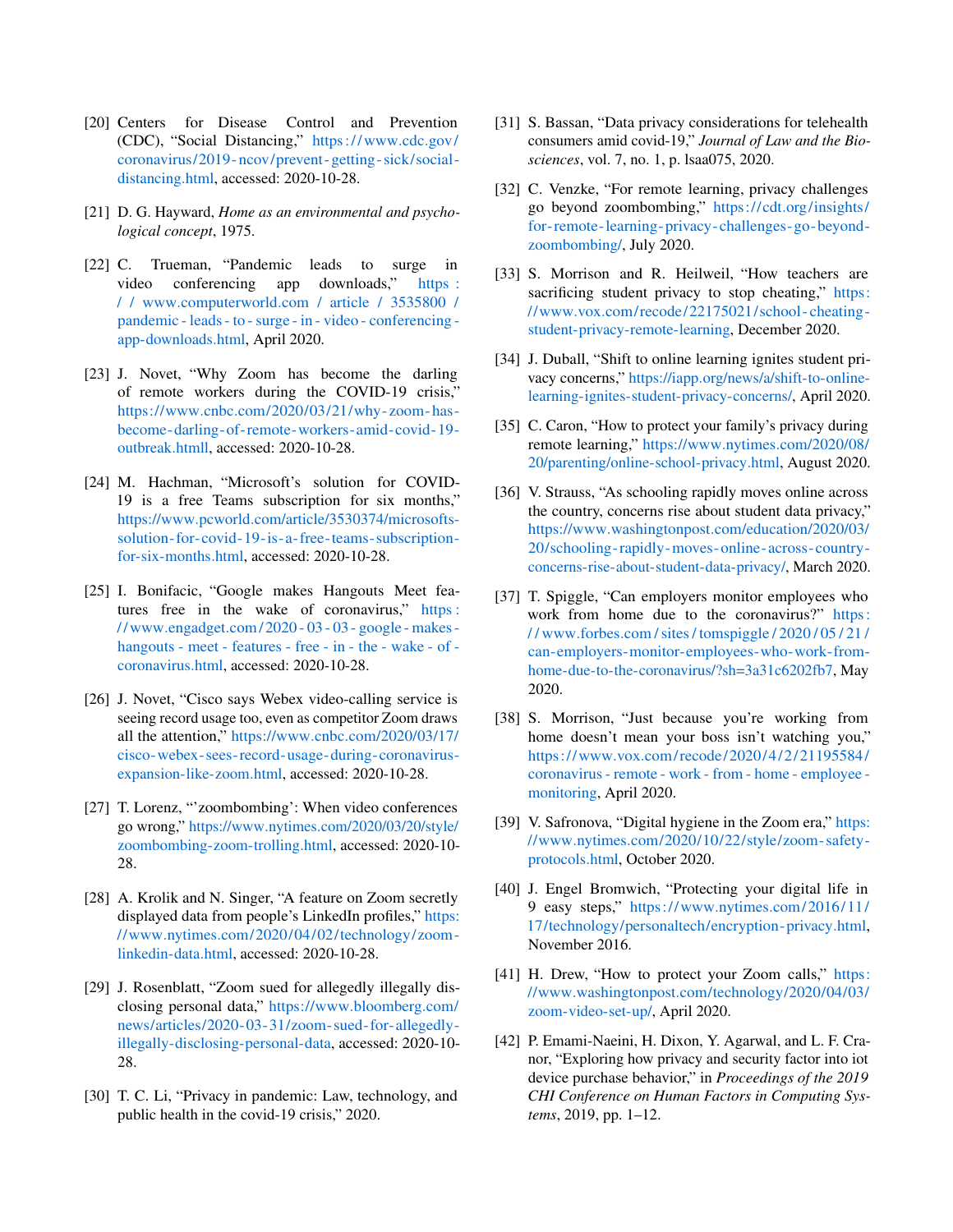- <span id="page-13-0"></span>[20] Centers for Disease Control and Prevention (CDC), "Social Distancing," [https://www](https://www.cdc.gov/coronavirus/2019-ncov/prevent-getting-sick/social-distancing.html).cdc.gov/ [coronavirus/2019- ncov/prevent- getting- sick/social](https://www.cdc.gov/coronavirus/2019-ncov/prevent-getting-sick/social-distancing.html)[distancing](https://www.cdc.gov/coronavirus/2019-ncov/prevent-getting-sick/social-distancing.html).html, accessed: 2020-10-28.
- <span id="page-13-1"></span>[21] D. G. Hayward, *Home as an environmental and psychological concept*, 1975.
- <span id="page-13-2"></span>[22] C. Trueman, "Pandemic leads to surge in video conferencing app downloads," [https :](https://www.computerworld.com/article/3535800/pandemic-leads-to-surge-in-video-conferencing-app-downloads.html) / / www.computerworld.[com / article / 3535800 /](https://www.computerworld.com/article/3535800/pandemic-leads-to-surge-in-video-conferencing-app-downloads.html) [pandemic - leads - to - surge - in - video - conferencing](https://www.computerworld.com/article/3535800/pandemic-leads-to-surge-in-video-conferencing-app-downloads.html)  [app-downloads](https://www.computerworld.com/article/3535800/pandemic-leads-to-surge-in-video-conferencing-app-downloads.html).html, April 2020.
- <span id="page-13-3"></span>[23] J. Novet, "Why Zoom has become the darling of remote workers during the COVID-19 crisis," https://www.cnbc.[com/2020/03/21/why-zoom- has](https://www.cnbc.com/2020/03/21/why-zoom-has-become-darling-of-remote-workers-amid-covid-19-outbreak.htmll)[become-darling-of- remote-workers-amid-covid-19](https://www.cnbc.com/2020/03/21/why-zoom-has-become-darling-of-remote-workers-amid-covid-19-outbreak.htmll) [outbreak](https://www.cnbc.com/2020/03/21/why-zoom-has-become-darling-of-remote-workers-amid-covid-19-outbreak.htmll).htmll, accessed: 2020-10-28.
- <span id="page-13-4"></span>[24] M. Hachman, "Microsoft's solution for COVID-19 is a free Teams subscription for six months," https://www.pcworld.[com/article/3530374/microsofts](https://www.pcworld.com/article/3530374/microsofts-solution-for-covid-19-is-a-free-teams-subscription-for-six-months.html)[solution- for-covid-19-is-a- free-teams-subscription](https://www.pcworld.com/article/3530374/microsofts-solution-for-covid-19-is-a-free-teams-subscription-for-six-months.html)[for-six-months](https://www.pcworld.com/article/3530374/microsofts-solution-for-covid-19-is-a-free-teams-subscription-for-six-months.html).html, accessed: 2020-10-28.
- <span id="page-13-5"></span>[25] I. Bonifacic, "Google makes Hangouts Meet features free in the wake of coronavirus," [https :](https://www.engadget.com/2020-03-03-google-makes-hangouts-meet-features-free-in-the-wake-of-coronavirus.html) // www.engadget.[com/ 2020 - 03 - 03 - google - makes](https://www.engadget.com/2020-03-03-google-makes-hangouts-meet-features-free-in-the-wake-of-coronavirus.html)  [hangouts - meet - features - free - in - the - wake - of](https://www.engadget.com/2020-03-03-google-makes-hangouts-meet-features-free-in-the-wake-of-coronavirus.html)  [coronavirus](https://www.engadget.com/2020-03-03-google-makes-hangouts-meet-features-free-in-the-wake-of-coronavirus.html).html, accessed: 2020-10-28.
- <span id="page-13-6"></span>[26] J. Novet, "Cisco says Webex video-calling service is seeing record usage too, even as competitor Zoom draws all the attention," https://www.cnbc.[com/2020/03/17/](https://www.cnbc.com/2020/03/17/cisco-webex-sees-record-usage-during-coronavirus-expansion-like-zoom.html) [cisco-webex-sees- record-usage-during-coronavirus](https://www.cnbc.com/2020/03/17/cisco-webex-sees-record-usage-during-coronavirus-expansion-like-zoom.html)[expansion-like-zoom](https://www.cnbc.com/2020/03/17/cisco-webex-sees-record-usage-during-coronavirus-expansion-like-zoom.html).html, accessed: 2020-10-28.
- <span id="page-13-7"></span>[27] T. Lorenz, "'zoombombing': When video conferences go wrong," https://www.nytimes.[com/2020/03/20/style/](https://www.nytimes.com/2020/03/20/style/zoombombing-zoom-trolling.html ) [zoombombing-zoom-trolling](https://www.nytimes.com/2020/03/20/style/zoombombing-zoom-trolling.html ).html, accessed: 2020-10- 28.
- <span id="page-13-8"></span>[28] A. Krolik and N. Singer, "A feature on Zoom secretly displayed data from people's LinkedIn profiles," [https:](https://www.nytimes.com/2020/04/02/technology/zoom-linkedin-data.html ) //www.nytimes.[com/2020/04/02/technology/zoom](https://www.nytimes.com/2020/04/02/technology/zoom-linkedin-data.html )  [linkedin-data](https://www.nytimes.com/2020/04/02/technology/zoom-linkedin-data.html ).html, accessed: 2020-10-28.
- <span id="page-13-9"></span>[29] J. Rosenblatt, "Zoom sued for allegedly illegally disclosing personal data," [https://www](https://www.bloomberg.com/news/articles/2020-03-31/zoom-sued-for-allegedly-illegally-disclosing-personal-data).bloomberg.com/ [news/articles/2020-03-31/zoom-sued- for-allegedly](https://www.bloomberg.com/news/articles/2020-03-31/zoom-sued-for-allegedly-illegally-disclosing-personal-data)[illegally-disclosing-personal-data,](https://www.bloomberg.com/news/articles/2020-03-31/zoom-sued-for-allegedly-illegally-disclosing-personal-data) accessed: 2020-10- 28.
- <span id="page-13-10"></span>[30] T. C. Li, "Privacy in pandemic: Law, technology, and public health in the covid-19 crisis," 2020.
- <span id="page-13-11"></span>[31] S. Bassan, "Data privacy considerations for telehealth consumers amid covid-19," *Journal of Law and the Biosciences*, vol. 7, no. 1, p. lsaa075, 2020.
- <span id="page-13-12"></span>[32] C. Venzke, "For remote learning, privacy challenges go beyond zoombombing," https://cdt.[org/insights/](https://cdt.org/insights/for-remote-learning-privacy-challenges-go-beyond-zoombombing/ ) [for- remote-learning- privacy-challenges- go- beyond](https://cdt.org/insights/for-remote-learning-privacy-challenges-go-beyond-zoombombing/ )[zoombombing/,](https://cdt.org/insights/for-remote-learning-privacy-challenges-go-beyond-zoombombing/ ) July 2020.
- [33] S. Morrison and R. Heilweil, "How teachers are sacrificing student privacy to stop cheating," [https:](https://www.vox.com/recode/22175021/school-cheating-student-privacy-remote-learning ) //www.vox.[com/ recode/22175021/school - cheating](https://www.vox.com/recode/22175021/school-cheating-student-privacy-remote-learning )  [student-privacy-remote-learning,](https://www.vox.com/recode/22175021/school-cheating-student-privacy-remote-learning ) December 2020.
- <span id="page-13-13"></span>[34] J. Duball, "Shift to online learning ignites student privacy concerns," https://iapp.[org/news/a/shift-to-online](https://iapp.org/news/a/shift-to-online-learning-ignites-student-privacy-concerns/ )[learning-ignites-student-privacy-concerns/,](https://iapp.org/news/a/shift-to-online-learning-ignites-student-privacy-concerns/ ) April 2020.
- <span id="page-13-14"></span>[35] C. Caron, "How to protect your family's privacy during remote learning," https://www.nytimes.[com/2020/08/](https://www.nytimes.com/2020/08/20/parenting/online-school-privacy.html ) [20/parenting/online-school-privacy](https://www.nytimes.com/2020/08/20/parenting/online-school-privacy.html ).html, August 2020.
- <span id="page-13-15"></span>[36] V. Strauss, "As schooling rapidly moves online across the country, concerns rise about student data privacy," https://www.washingtonpost.[com/education/2020/03/](https://www.washingtonpost.com/education/2020/03/20/schooling-rapidly-moves-online-across-country-concerns-rise-about-student-data-privacy/ ) [20/schooling- rapidly-moves- online-across-country](https://www.washingtonpost.com/education/2020/03/20/schooling-rapidly-moves-online-across-country-concerns-rise-about-student-data-privacy/ )[concerns-rise-about-student-data-privacy/,](https://www.washingtonpost.com/education/2020/03/20/schooling-rapidly-moves-online-across-country-concerns-rise-about-student-data-privacy/ ) March 2020.
- <span id="page-13-16"></span>[37] T. Spiggle, "Can employers monitor employees who work from home due to the coronavirus?" [https:](https://www.forbes.com/sites/tomspiggle/2020/05/21/can-employers-monitor-employees-who-work-from-home-due-to-the-coronavirus/?sh=3a31c6202fb7 ) / / www.forbes.[com / sites / tomspiggle / 2020 / 05 / 21 /](https://www.forbes.com/sites/tomspiggle/2020/05/21/can-employers-monitor-employees-who-work-from-home-due-to-the-coronavirus/?sh=3a31c6202fb7 ) [can-employers-monitor-employees-who-work-from](https://www.forbes.com/sites/tomspiggle/2020/05/21/can-employers-monitor-employees-who-work-from-home-due-to-the-coronavirus/?sh=3a31c6202fb7 )[home-due-to-the-coronavirus/?sh=3a31c6202fb7,](https://www.forbes.com/sites/tomspiggle/2020/05/21/can-employers-monitor-employees-who-work-from-home-due-to-the-coronavirus/?sh=3a31c6202fb7 ) May 2020.
- <span id="page-13-17"></span>[38] S. Morrison, "Just because you're working from home doesn't mean your boss isn't watching you," https://www.vox.[com/ recode/ 2020/ 4/ 2/ 21195584/](https://www.vox.com/recode/2020/4/2/21195584/coronavirus-remote-work-from-home-employee-monitoring ) [coronavirus - remote - work - from - home - employee](https://www.vox.com/recode/2020/4/2/21195584/coronavirus-remote-work-from-home-employee-monitoring )  [monitoring,](https://www.vox.com/recode/2020/4/2/21195584/coronavirus-remote-work-from-home-employee-monitoring ) April 2020.
- <span id="page-13-18"></span>[39] V. Safronova, "Digital hygiene in the Zoom era," [https:](https://www.nytimes.com/2020/10/22/style/zoom-safety-protocols.html) //www.nytimes.[com/2020/10/22/style/zoom- safety](https://www.nytimes.com/2020/10/22/style/zoom-safety-protocols.html)[protocols](https://www.nytimes.com/2020/10/22/style/zoom-safety-protocols.html).html, October 2020.
- [40] J. Engel Bromwich, "Protecting your digital life in 9 easy steps," https://www.nytimes.[com/ 2016/ 11/](https://www.nytimes.com/2016/11/17/technology/personaltech/encryption-privacy.html) [17/technology/personaltech/encryption- privacy](https://www.nytimes.com/2016/11/17/technology/personaltech/encryption-privacy.html).html, November 2016.
- <span id="page-13-19"></span>[41] H. Drew, "How to protect your Zoom calls," [https:](https://www.washingtonpost.com/technology/2020/04/03/zoom-video-set-up/) //www.washingtonpost.[com/technology/2020/04/03/](https://www.washingtonpost.com/technology/2020/04/03/zoom-video-set-up/) [zoom-video-set-up/,](https://www.washingtonpost.com/technology/2020/04/03/zoom-video-set-up/) April 2020.
- <span id="page-13-20"></span>[42] P. Emami-Naeini, H. Dixon, Y. Agarwal, and L. F. Cranor, "Exploring how privacy and security factor into iot device purchase behavior," in *Proceedings of the 2019 CHI Conference on Human Factors in Computing Systems*, 2019, pp. 1–12.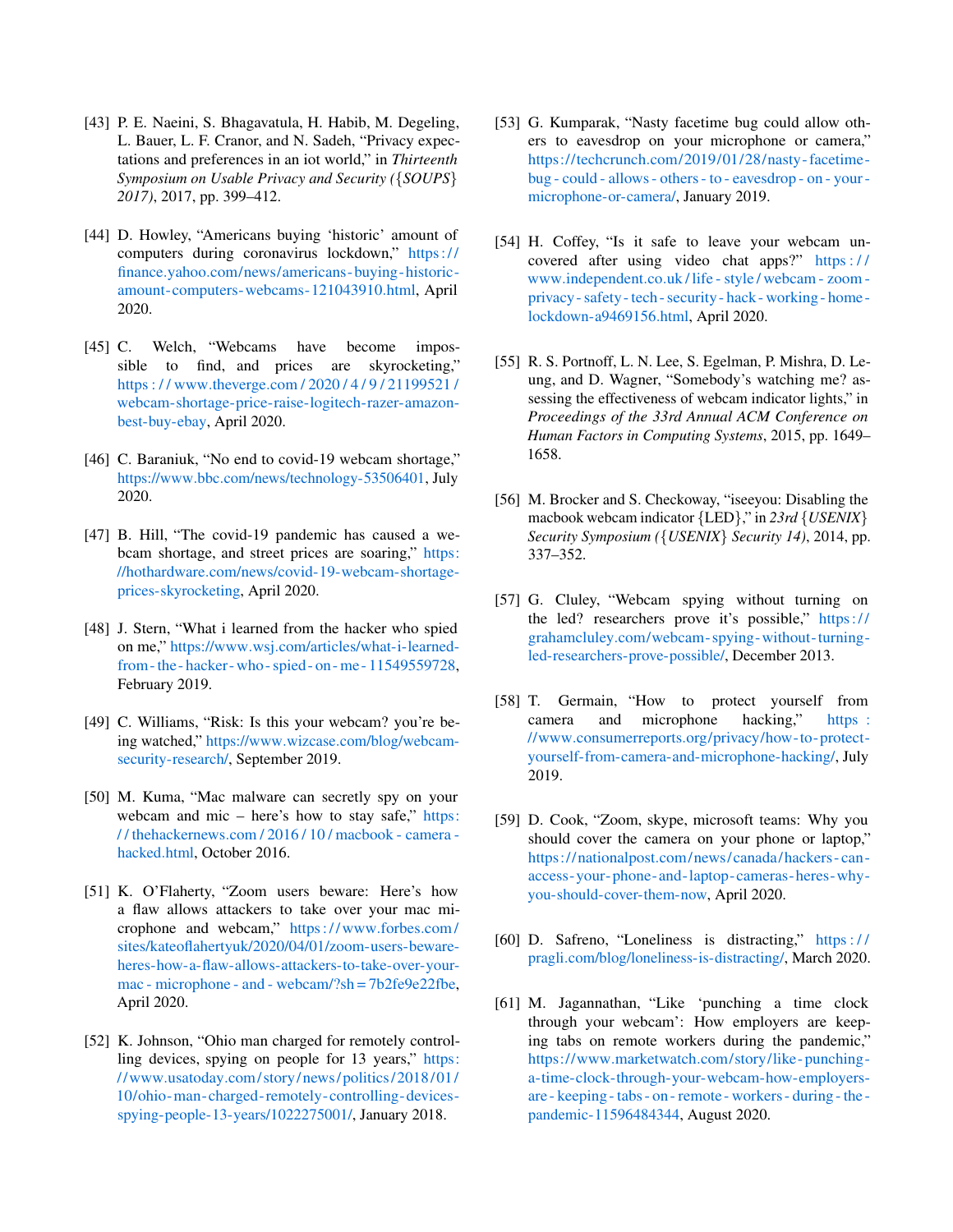- <span id="page-14-0"></span>[43] P. E. Naeini, S. Bhagavatula, H. Habib, M. Degeling, L. Bauer, L. F. Cranor, and N. Sadeh, "Privacy expectations and preferences in an iot world," in *Thirteenth Symposium on Usable Privacy and Security (*{*SOUPS*} *2017)*, 2017, pp. 399–412.
- <span id="page-14-1"></span>[44] D. Howley, "Americans buying 'historic' amount of computers during coronavirus lockdown," [https://](https://finance.yahoo.com/news/americans-buying-historic-amount-computers-webcams-121043910.html ) finance.yahoo.[com/news/americans- buying- historic](https://finance.yahoo.com/news/americans-buying-historic-amount-computers-webcams-121043910.html )[amount-computers-webcams-121043910](https://finance.yahoo.com/news/americans-buying-historic-amount-computers-webcams-121043910.html ).html, April 2020.
- <span id="page-14-2"></span>[45] C. Welch, "Webcams have become impossible to find, and prices are skyrocketing," https : / / www.theverge.[com / 2020 / 4 / 9 / 21199521 /](https://www.theverge.com/2020/4/9/21199521/webcam-shortage-price-raise-logitech-razer-amazon-best-buy-ebay ) [webcam-shortage-price-raise-logitech-razer-amazon](https://www.theverge.com/2020/4/9/21199521/webcam-shortage-price-raise-logitech-razer-amazon-best-buy-ebay )[best-buy-ebay,](https://www.theverge.com/2020/4/9/21199521/webcam-shortage-price-raise-logitech-razer-amazon-best-buy-ebay ) April 2020.
- [46] C. Baraniuk, "No end to covid-19 webcam shortage," https://www.bbc.[com/news/technology-53506401,](https://www.bbc.com/news/technology-53506401 ) July 2020.
- <span id="page-14-3"></span>[47] B. Hill, "The covid-19 pandemic has caused a webcam shortage, and street prices are soaring," [https:](https://hothardware.com/news/covid-19-webcam-shortage-prices-skyrocketing ) //hothardware.[com/news/covid-19-webcam-shortage](https://hothardware.com/news/covid-19-webcam-shortage-prices-skyrocketing )[prices-skyrocketing,](https://hothardware.com/news/covid-19-webcam-shortage-prices-skyrocketing ) April 2020.
- <span id="page-14-4"></span>[48] J. Stern, "What i learned from the hacker who spied on me," https://www.wsj.[com/articles/what-i-learned](https://www.wsj.com/articles/what-i-learned-from-the-hacker-who-spied-on-me-11549559728 )[from - the - hacker- who - spied - on - me - 11549559728,](https://www.wsj.com/articles/what-i-learned-from-the-hacker-who-spied-on-me-11549559728 ) February 2019.
- [49] C. Williams, "Risk: Is this your webcam? you're being watched," https://www.wizcase.[com/blog/webcam](https://www.wizcase.com/blog/webcam-security-research/ )[security-research/,](https://www.wizcase.com/blog/webcam-security-research/ ) September 2019.
- [50] M. Kuma, "Mac malware can secretly spy on your webcam and mic – here's how to stay safe," [https:](https://thehackernews.com/2016/10/macbook-camera-hacked.html ) / / thehackernews.[com / 2016 / 10 / macbook - camera](https://thehackernews.com/2016/10/macbook-camera-hacked.html )  [hacked](https://thehackernews.com/2016/10/macbook-camera-hacked.html ).html, October 2016.
- [51] K. O'Flaherty, "Zoom users beware: Here's how a flaw allows attackers to take over your mac microphone and webcam," [https:// www](https://www.forbes.com/sites/kateoflahertyuk/2020/04/01/zoom-users-beware-heres-how-a-flaw-allows-attackers-to-take-over-your-mac-microphone-and-webcam/?sh=7b2fe9e22fbe ).forbes.com/ [sites/kateoflahertyuk/2020/04/01/zoom-users-beware](https://www.forbes.com/sites/kateoflahertyuk/2020/04/01/zoom-users-beware-heres-how-a-flaw-allows-attackers-to-take-over-your-mac-microphone-and-webcam/?sh=7b2fe9e22fbe )[heres-how-a-flaw-allows-attackers-to-take-over-your](https://www.forbes.com/sites/kateoflahertyuk/2020/04/01/zoom-users-beware-heres-how-a-flaw-allows-attackers-to-take-over-your-mac-microphone-and-webcam/?sh=7b2fe9e22fbe )[mac - microphone - and - webcam/?sh = 7b2fe9e22fbe,](https://www.forbes.com/sites/kateoflahertyuk/2020/04/01/zoom-users-beware-heres-how-a-flaw-allows-attackers-to-take-over-your-mac-microphone-and-webcam/?sh=7b2fe9e22fbe ) April 2020.
- [52] K. Johnson, "Ohio man charged for remotely controlling devices, spying on people for 13 years," [https:](https://www.usatoday.com/story/news/politics/2018/01/10/ohio-man-charged-remotely-controlling-devices-spying-people-13-years/1022275001/ ) //www.usatoday.[com/ story/ news/ politics/ 2018/ 01/](https://www.usatoday.com/story/news/politics/2018/01/10/ohio-man-charged-remotely-controlling-devices-spying-people-13-years/1022275001/ ) [10/ohio-man-charged- remotely-controlling-devices](https://www.usatoday.com/story/news/politics/2018/01/10/ohio-man-charged-remotely-controlling-devices-spying-people-13-years/1022275001/ )[spying-people-13-years/1022275001/,](https://www.usatoday.com/story/news/politics/2018/01/10/ohio-man-charged-remotely-controlling-devices-spying-people-13-years/1022275001/ ) January 2018.
- <span id="page-14-5"></span>[53] G. Kumparak, "Nasty facetime bug could allow others to eavesdrop on your microphone or camera," https://techcrunch.[com/2019/01/28/nasty- facetime]( https://techcrunch.com/2019/01/28/nasty-facetime-bug-could-allows-others-to-eavesdrop-on-your-microphone-or-camera/ )[bug - could - allows - others - to - eavesdrop - on - your]( https://techcrunch.com/2019/01/28/nasty-facetime-bug-could-allows-others-to-eavesdrop-on-your-microphone-or-camera/ )  [microphone-or-camera/,]( https://techcrunch.com/2019/01/28/nasty-facetime-bug-could-allows-others-to-eavesdrop-on-your-microphone-or-camera/ ) January 2019.
- <span id="page-14-6"></span>[54] H. Coffey, "Is it safe to leave your webcam uncovered after using video chat apps?" https:// www.independent.co.[uk / life - style / webcam - zoom](https://www.independent.co.uk/life-style/webcam-zoom-privacy-safety-tech-security-hack-working-home-lockdown-a9469156.html )  [privacy - safety - tech - security - hack - working - home](https://www.independent.co.uk/life-style/webcam-zoom-privacy-safety-tech-security-hack-working-home-lockdown-a9469156.html )  [lockdown-a9469156](https://www.independent.co.uk/life-style/webcam-zoom-privacy-safety-tech-security-hack-working-home-lockdown-a9469156.html ).html, April 2020.
- <span id="page-14-7"></span>[55] R. S. Portnoff, L. N. Lee, S. Egelman, P. Mishra, D. Leung, and D. Wagner, "Somebody's watching me? assessing the effectiveness of webcam indicator lights," in *Proceedings of the 33rd Annual ACM Conference on Human Factors in Computing Systems*, 2015, pp. 1649– 1658.
- <span id="page-14-8"></span>[56] M. Brocker and S. Checkoway, "iseeyou: Disabling the macbook webcam indicator {LED}," in *23rd* {*USENIX*} *Security Symposium (*{*USENIX*} *Security 14)*, 2014, pp. 337–352.
- <span id="page-14-9"></span>[57] G. Cluley, "Webcam spying without turning on the led? researchers prove it's possible," [https://](https://grahamcluley.com/webcam-spying-without-turning-led-researchers-prove-possible/ ) grahamcluley.[com/webcam- spying-without-turning](https://grahamcluley.com/webcam-spying-without-turning-led-researchers-prove-possible/ )[led-researchers-prove-possible/,](https://grahamcluley.com/webcam-spying-without-turning-led-researchers-prove-possible/ ) December 2013.
- <span id="page-14-10"></span>[58] T. Germain, "How to protect yourself from camera and microphone hacking," [https :](https://www.consumerreports.org/privacy/how-to-protect-yourself-from-camera-and-microphone-hacking/ ) //www.consumerreports.[org/privacy/how-to- protect](https://www.consumerreports.org/privacy/how-to-protect-yourself-from-camera-and-microphone-hacking/ )[yourself-from-camera-and-microphone-hacking/,](https://www.consumerreports.org/privacy/how-to-protect-yourself-from-camera-and-microphone-hacking/ ) July 2019.
- <span id="page-14-11"></span>[59] D. Cook, "Zoom, skype, microsoft teams: Why you should cover the camera on your phone or laptop," https://nationalpost.[com/news/canada/hackers - can](https://nationalpost.com/news/canada/hackers-can-access-your-phone-and-laptop-cameras-heres-why-you-should-cover-them-now )  [access- your-phone-and-laptop-cameras- heres-why](https://nationalpost.com/news/canada/hackers-can-access-your-phone-and-laptop-cameras-heres-why-you-should-cover-them-now )[you-should-cover-them-now,](https://nationalpost.com/news/canada/hackers-can-access-your-phone-and-laptop-cameras-heres-why-you-should-cover-them-now ) April 2020.
- <span id="page-14-12"></span>[60] D. Safreno, "Loneliness is distracting," [https : / /](https://pragli.com/blog/loneliness-is-distracting/ ) pragli.[com/blog/loneliness-is-distracting/,](https://pragli.com/blog/loneliness-is-distracting/ ) March 2020.
- <span id="page-14-13"></span>[61] M. Jagannathan, "Like 'punching a time clock through your webcam': How employers are keeping tabs on remote workers during the pandemic," https://www.marketwatch.[com/story/like- punching](https://www.marketwatch.com/story/like-punching-a-time-clock-through-your-webcam-how-employers-are-keeping-tabs-on-remote-workers-during-the-pandemic-11596484344 )[a-time-clock-through-your-webcam-how-employers](https://www.marketwatch.com/story/like-punching-a-time-clock-through-your-webcam-how-employers-are-keeping-tabs-on-remote-workers-during-the-pandemic-11596484344 )[are - keeping - tabs - on - remote - workers - during - the](https://www.marketwatch.com/story/like-punching-a-time-clock-through-your-webcam-how-employers-are-keeping-tabs-on-remote-workers-during-the-pandemic-11596484344 )  [pandemic-11596484344,](https://www.marketwatch.com/story/like-punching-a-time-clock-through-your-webcam-how-employers-are-keeping-tabs-on-remote-workers-during-the-pandemic-11596484344 ) August 2020.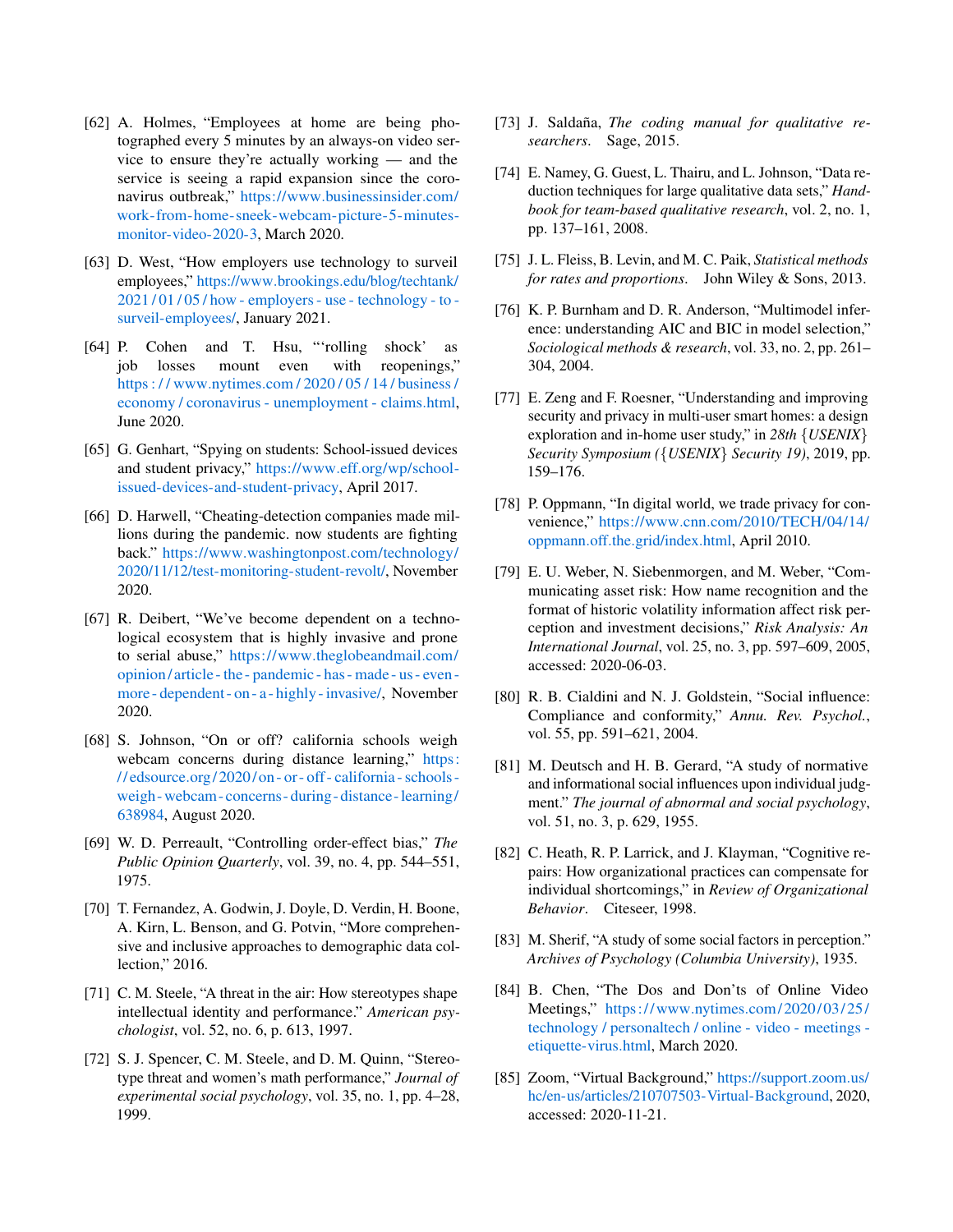- <span id="page-15-0"></span>[62] A. Holmes, "Employees at home are being photographed every 5 minutes by an always-on video service to ensure they're actually working — and the service is seeing a rapid expansion since the coronavirus outbreak," https://www.[businessinsider](https://www.businessinsider.com/work-from-home-sneek-webcam-picture-5-minutes-monitor-video-2020-3 ).com/ [work-from-home-sneek-webcam-picture-5-minutes](https://www.businessinsider.com/work-from-home-sneek-webcam-picture-5-minutes-monitor-video-2020-3 )[monitor-video-2020-3,](https://www.businessinsider.com/work-from-home-sneek-webcam-picture-5-minutes-monitor-video-2020-3 ) March 2020.
- <span id="page-15-1"></span>[63] D. West, "How employers use technology to surveil employees," https://www.brookings.[edu/blog/techtank/](https://www.brookings.edu/blog/techtank/2021/01/05/how-employers-use-technology-to-surveil-employees/ ) [2021 / 01 / 05 / how - employers - use - technology - to](https://www.brookings.edu/blog/techtank/2021/01/05/how-employers-use-technology-to-surveil-employees/ )  [surveil-employees/,](https://www.brookings.edu/blog/techtank/2021/01/05/how-employers-use-technology-to-surveil-employees/ ) January 2021.
- <span id="page-15-2"></span>[64] P. Cohen and T. Hsu, "'rolling shock' as job losses mount even with reopenings," https : / / www.nytimes.[com / 2020 / 05 / 14 / business /](https://www.nytimes.com/2020/05/14/business/economy/coronavirus-unemployment-claims.html ) [economy / coronavirus - unemployment - claims](https://www.nytimes.com/2020/05/14/business/economy/coronavirus-unemployment-claims.html ).html, June 2020.
- <span id="page-15-3"></span>[65] G. Genhart, "Spying on students: School-issued devices and student privacy," https://www.eff.[org/wp/school](https://www.eff.org/wp/school-issued-devices-and-student-privacy )[issued-devices-and-student-privacy,](https://www.eff.org/wp/school-issued-devices-and-student-privacy ) April 2017.
- <span id="page-15-4"></span>[66] D. Harwell, "Cheating-detection companies made millions during the pandemic. now students are fighting back." https://www.washingtonpost.[com/technology/](https://www.washingtonpost.com/technology/2020/11/12/test-monitoring-student-revolt/ ) [2020/11/12/test-monitoring-student-revolt/,](https://www.washingtonpost.com/technology/2020/11/12/test-monitoring-student-revolt/ ) November 2020.
- <span id="page-15-5"></span>[67] R. Deibert, "We've become dependent on a technological ecosystem that is highly invasive and prone to serial abuse," https://www.[theglobeandmail](https://www.theglobeandmail.com/opinion/article-the-pandemic-has-made-us-even-more-dependent-on-a-highly-invasive/).com/ [opinion/ article - the - pandemic - has - made - us - even](https://www.theglobeandmail.com/opinion/article-the-pandemic-has-made-us-even-more-dependent-on-a-highly-invasive/)  [more - dependent - on - a - highly - invasive/,](https://www.theglobeandmail.com/opinion/article-the-pandemic-has-made-us-even-more-dependent-on-a-highly-invasive/) November 2020.
- <span id="page-15-6"></span>[68] S. Johnson, "On or off? california schools weigh webcam concerns during distance learning," [https:](https://edsource.org/2020/on-or-off-california-schools-weigh-webcam-concerns-during-distance-learning/638984 ) // edsource.[org/ 2020/ on - or - off - california - schools](https://edsource.org/2020/on-or-off-california-schools-weigh-webcam-concerns-during-distance-learning/638984 )  [weigh- webcam- concerns- during- distance-learning/](https://edsource.org/2020/on-or-off-california-schools-weigh-webcam-concerns-during-distance-learning/638984 ) [638984,](https://edsource.org/2020/on-or-off-california-schools-weigh-webcam-concerns-during-distance-learning/638984 ) August 2020.
- <span id="page-15-7"></span>[69] W. D. Perreault, "Controlling order-effect bias," *The Public Opinion Quarterly*, vol. 39, no. 4, pp. 544–551, 1975.
- <span id="page-15-8"></span>[70] T. Fernandez, A. Godwin, J. Doyle, D. Verdin, H. Boone, A. Kirn, L. Benson, and G. Potvin, "More comprehensive and inclusive approaches to demographic data collection," 2016.
- [71] C. M. Steele, "A threat in the air: How stereotypes shape intellectual identity and performance." *American psychologist*, vol. 52, no. 6, p. 613, 1997.
- <span id="page-15-9"></span>[72] S. J. Spencer, C. M. Steele, and D. M. Quinn, "Stereotype threat and women's math performance," *Journal of experimental social psychology*, vol. 35, no. 1, pp. 4–28, 1999.
- <span id="page-15-10"></span>[73] J. Saldaña, *The coding manual for qualitative researchers*. Sage, 2015.
- <span id="page-15-11"></span>[74] E. Namey, G. Guest, L. Thairu, and L. Johnson, "Data reduction techniques for large qualitative data sets," *Handbook for team-based qualitative research*, vol. 2, no. 1, pp. 137–161, 2008.
- <span id="page-15-12"></span>[75] J. L. Fleiss, B. Levin, and M. C. Paik, *Statistical methods for rates and proportions*. John Wiley & Sons, 2013.
- <span id="page-15-13"></span>[76] K. P. Burnham and D. R. Anderson, "Multimodel inference: understanding AIC and BIC in model selection," *Sociological methods & research*, vol. 33, no. 2, pp. 261– 304, 2004.
- <span id="page-15-14"></span>[77] E. Zeng and F. Roesner, "Understanding and improving security and privacy in multi-user smart homes: a design exploration and in-home user study," in *28th* {*USENIX*} *Security Symposium (*{*USENIX*} *Security 19)*, 2019, pp. 159–176.
- <span id="page-15-15"></span>[78] P. Oppmann, "In digital world, we trade privacy for convenience," https://www.cnn.[com/2010/TECH/04/14/](https://www.cnn.com/2010/TECH/04/14/oppmann.off.the.grid/index.html ) oppmann.off.the.[grid/index](https://www.cnn.com/2010/TECH/04/14/oppmann.off.the.grid/index.html ).html, April 2010.
- <span id="page-15-16"></span>[79] E. U. Weber, N. Siebenmorgen, and M. Weber, "Communicating asset risk: How name recognition and the format of historic volatility information affect risk perception and investment decisions," *Risk Analysis: An International Journal*, vol. 25, no. 3, pp. 597–609, 2005, accessed: 2020-06-03.
- <span id="page-15-17"></span>[80] R. B. Cialdini and N. J. Goldstein, "Social influence: Compliance and conformity," *Annu. Rev. Psychol.*, vol. 55, pp. 591–621, 2004.
- <span id="page-15-18"></span>[81] M. Deutsch and H. B. Gerard, "A study of normative and informational social influences upon individual judgment." *The journal of abnormal and social psychology*, vol. 51, no. 3, p. 629, 1955.
- <span id="page-15-19"></span>[82] C. Heath, R. P. Larrick, and J. Klayman, "Cognitive repairs: How organizational practices can compensate for individual shortcomings," in *Review of Organizational Behavior*. Citeseer, 1998.
- <span id="page-15-20"></span>[83] M. Sherif, "A study of some social factors in perception." *Archives of Psychology (Columbia University)*, 1935.
- <span id="page-15-21"></span>[84] B. Chen, "The Dos and Don'ts of Online Video Meetings," https://www.nytimes.com/2020/03/25/ [technology / personaltech / online - video - meetings](https://www.nytimes.com/2020/03/25/technology/personaltech/online-video-meetings-etiquette-virus.html)  [etiquette-virus](https://www.nytimes.com/2020/03/25/technology/personaltech/online-video-meetings-etiquette-virus.html).html, March 2020.
- <span id="page-15-22"></span>[85] Zoom, "Virtual Background," [https://support](https://support.zoom.us/hc/en-us/articles/210707503-Virtual-Background).zoom.us/ [hc/en-us/articles/210707503-Virtual-Background,](https://support.zoom.us/hc/en-us/articles/210707503-Virtual-Background) 2020, accessed: 2020-11-21.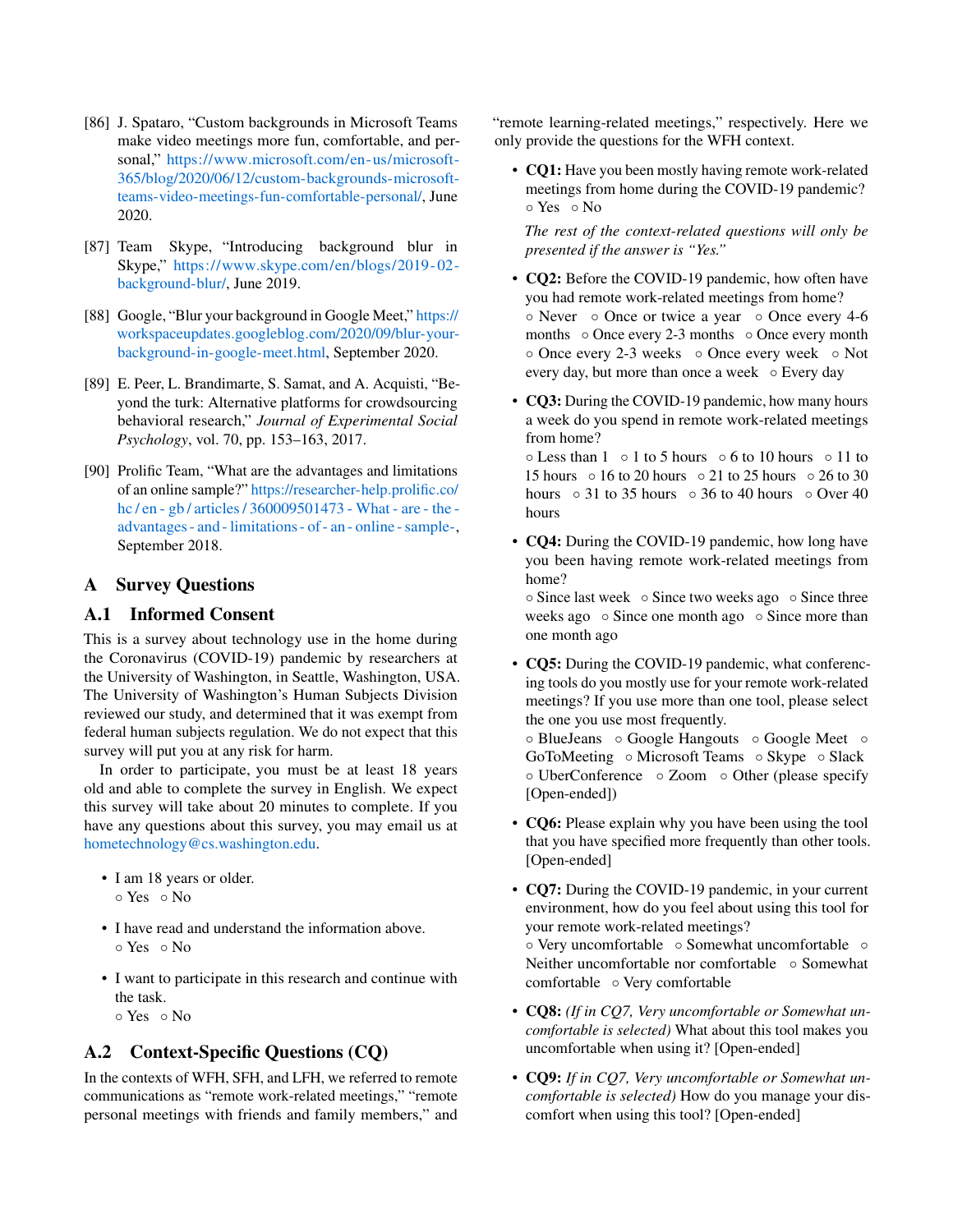- <span id="page-16-2"></span>[86] J. Spataro, "Custom backgrounds in Microsoft Teams make video meetings more fun, comfortable, and personal," https://www.microsoft.[com/en-us/microsoft-](https://www.microsoft.com/en-us/microsoft-365/blog/2020/06/12/custom-backgrounds-microsoft-teams-video-meetings-fun-comfortable-personal/)[365/blog/2020/06/12/custom-backgrounds-microsoft](https://www.microsoft.com/en-us/microsoft-365/blog/2020/06/12/custom-backgrounds-microsoft-teams-video-meetings-fun-comfortable-personal/)[teams-video-meetings-fun-comfortable-personal/,](https://www.microsoft.com/en-us/microsoft-365/blog/2020/06/12/custom-backgrounds-microsoft-teams-video-meetings-fun-comfortable-personal/) June 2020.
- <span id="page-16-3"></span>[87] Team Skype, "Introducing background blur in Skype," https://www.skype.[com/en/blogs/2019- 02](https://www.skype.com/en/blogs/2019-02-background-blur/) [background-blur/,](https://www.skype.com/en/blogs/2019-02-background-blur/) June 2019.
- <span id="page-16-4"></span>[88] Google, "Blur your background in Google Meet," [https://](https://workspaceupdates.googleblog.com/2020/09/blur-your-background-in-google-meet.html) workspaceupdates.googleblog.[com/2020/09/blur-your](https://workspaceupdates.googleblog.com/2020/09/blur-your-background-in-google-meet.html)[background-in-google-meet](https://workspaceupdates.googleblog.com/2020/09/blur-your-background-in-google-meet.html).html, September 2020.
- <span id="page-16-5"></span>[89] E. Peer, L. Brandimarte, S. Samat, and A. Acquisti, "Beyond the turk: Alternative platforms for crowdsourcing behavioral research," *Journal of Experimental Social Psychology*, vol. 70, pp. 153–163, 2017.
- <span id="page-16-6"></span>[90] Prolific Team, "What are the advantages and limitations of an online sample?" [https://researcher-help](https://researcher-help.prolific.co/hc/en-gb/articles/360009501473-What-are-the-advantages-and-limitations-of-an-online-sample- ).prolific.co/ [hc / en - gb / articles / 360009501473 - What - are - the](https://researcher-help.prolific.co/hc/en-gb/articles/360009501473-What-are-the-advantages-and-limitations-of-an-online-sample- )  [advantages - and - limitations - of - an - online - sample-,](https://researcher-help.prolific.co/hc/en-gb/articles/360009501473-What-are-the-advantages-and-limitations-of-an-online-sample- ) September 2018.

## <span id="page-16-0"></span>A Survey Questions

## <span id="page-16-1"></span>A.1 Informed Consent

This is a survey about technology use in the home during the Coronavirus (COVID-19) pandemic by researchers at the University of Washington, in Seattle, Washington, USA. The University of Washington's Human Subjects Division reviewed our study, and determined that it was exempt from federal human subjects regulation. We do not expect that this survey will put you at any risk for harm.

In order to participate, you must be at least 18 years old and able to complete the survey in English. We expect this survey will take about 20 minutes to complete. If you have any questions about this survey, you may email us at [hometechnology@cs.washington.edu.](mailto:hometechnology@cs.washington.edu)

- I am 18 years or older.
	- Yes No
- I have read and understand the information above. ◦ Yes ◦ No
- I want to participate in this research and continue with the task. ◦ Yes ◦ No
- A.2 Context-Specific Questions (CQ)

In the contexts of WFH, SFH, and LFH, we referred to remote communications as "remote work-related meetings," "remote personal meetings with friends and family members," and "remote learning-related meetings," respectively. Here we only provide the questions for the WFH context.

• CQ1: Have you been mostly having remote work-related meetings from home during the COVID-19 pandemic? ◦ Yes ◦ No

*The rest of the context-related questions will only be presented if the answer is "Yes."*

- CQ2: Before the COVID-19 pandemic, how often have you had remote work-related meetings from home? ◦ Never ◦ Once or twice a year ◦ Once every 4-6 months ⊙ Once every 2-3 months ⊙ Once every month ◦ Once every 2-3 weeks ◦ Once every week ◦ Not every day, but more than once a week  $\circ$  Every day
- CQ3: During the COVID-19 pandemic, how many hours a week do you spend in remote work-related meetings from home?

◦ Less than 1 ◦ 1 to 5 hours ◦ 6 to 10 hours ◦ 11 to 15 hours ◦ 16 to 20 hours ◦ 21 to 25 hours ◦ 26 to 30 hours  $\circ$  31 to 35 hours  $\circ$  36 to 40 hours  $\circ$  Over 40 hours

• **CQ4:** During the COVID-19 pandemic, how long have you been having remote work-related meetings from home?

◦ Since last week ◦ Since two weeks ago ◦ Since three weeks ago ∘ Since one month ago ∘ Since more than one month ago

• CQ5: During the COVID-19 pandemic, what conferencing tools do you mostly use for your remote work-related meetings? If you use more than one tool, please select the one you use most frequently.

◦ BlueJeans ◦ Google Hangouts ◦ Google Meet ◦ GoToMeeting ◦ Microsoft Teams ◦ Skype ◦ Slack ◦ UberConference ◦ Zoom ◦ Other (please specify [Open-ended])

- CQ6: Please explain why you have been using the tool that you have specified more frequently than other tools. [Open-ended]
- CQ7: During the COVID-19 pandemic, in your current environment, how do you feel about using this tool for your remote work-related meetings? ◦ Very uncomfortable ◦ Somewhat uncomfortable ◦ Neither uncomfortable nor comfortable ∘ Somewhat comfortable ◦ Very comfortable
- CQ8: *(If in CQ7, Very uncomfortable or Somewhat uncomfortable is selected)* What about this tool makes you uncomfortable when using it? [Open-ended]
- CQ9: *If in CQ7, Very uncomfortable or Somewhat uncomfortable is selected)* How do you manage your discomfort when using this tool? [Open-ended]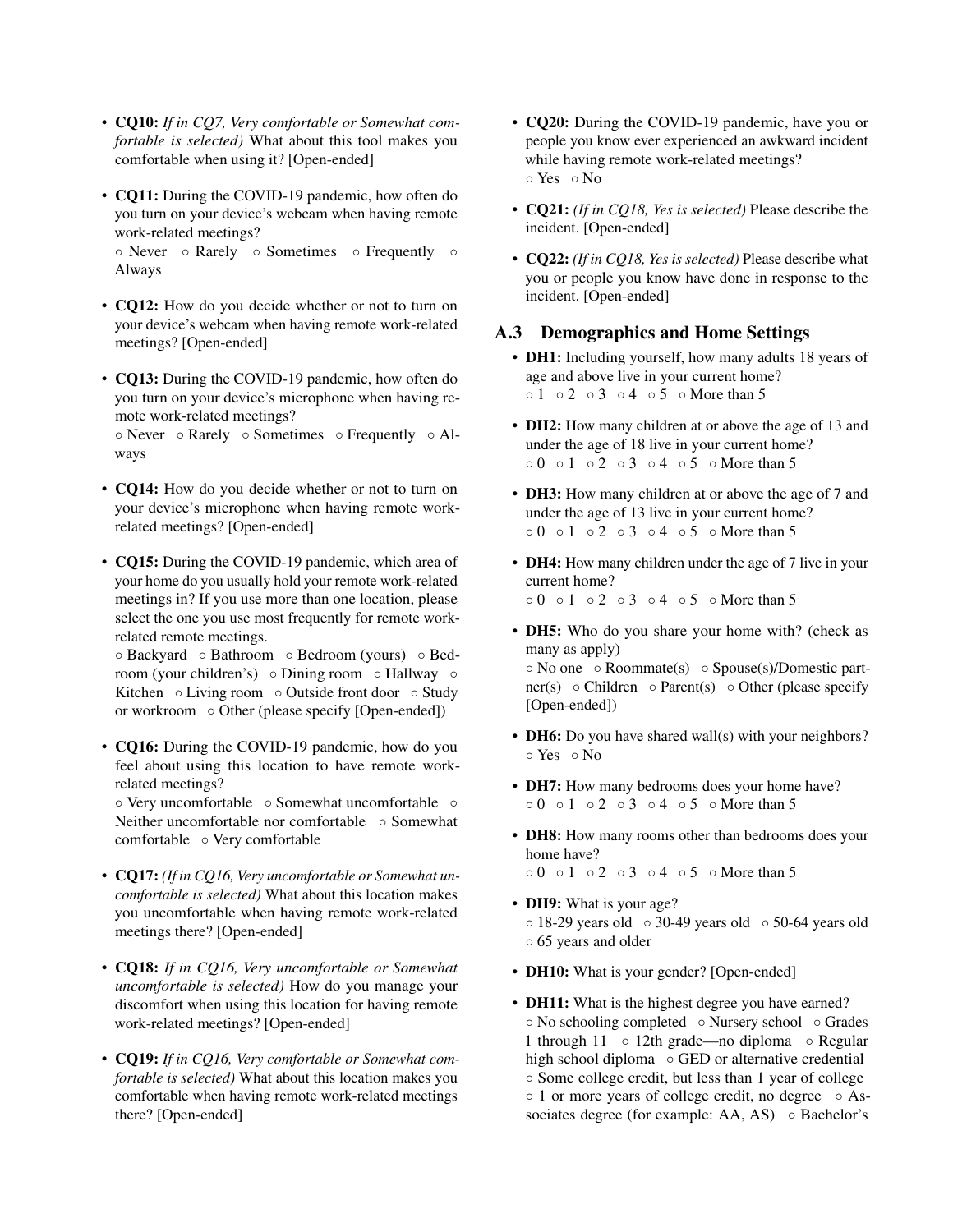- CQ10: *If in CQ7, Very comfortable or Somewhat comfortable is selected)* What about this tool makes you comfortable when using it? [Open-ended]
- CQ11: During the COVID-19 pandemic, how often do you turn on your device's webcam when having remote work-related meetings?

◦ Never ◦ Rarely ◦ Sometimes ◦ Frequently ◦ Always

- CQ12: How do you decide whether or not to turn on your device's webcam when having remote work-related meetings? [Open-ended]
- CQ13: During the COVID-19 pandemic, how often do you turn on your device's microphone when having remote work-related meetings?

◦ Never ◦ Rarely ◦ Sometimes ◦ Frequently ◦ Always

- CQ14: How do you decide whether or not to turn on your device's microphone when having remote workrelated meetings? [Open-ended]
- CQ15: During the COVID-19 pandemic, which area of your home do you usually hold your remote work-related meetings in? If you use more than one location, please select the one you use most frequently for remote workrelated remote meetings.

◦ Backyard ◦ Bathroom ◦ Bedroom (yours) ◦ Bedroom (your children's) ∘ Dining room ∘ Hallway ∘ Kitchen ◦ Living room ◦ Outside front door ◦ Study or workroom ◦ Other (please specify [Open-ended])

• CO16: During the COVID-19 pandemic, how do you feel about using this location to have remote workrelated meetings?

◦ Very uncomfortable ◦ Somewhat uncomfortable ◦ Neither uncomfortable nor comfortable ◦ Somewhat comfortable ◦ Very comfortable

- CQ17: *(If in CQ16, Very uncomfortable or Somewhat uncomfortable is selected)* What about this location makes you uncomfortable when having remote work-related meetings there? [Open-ended]
- CQ18: *If in CQ16, Very uncomfortable or Somewhat uncomfortable is selected)* How do you manage your discomfort when using this location for having remote work-related meetings? [Open-ended]
- CQ19: *If in CQ16, Very comfortable or Somewhat comfortable is selected)* What about this location makes you comfortable when having remote work-related meetings there? [Open-ended]
- CQ20: During the COVID-19 pandemic, have you or people you know ever experienced an awkward incident while having remote work-related meetings? ◦ Yes ◦ No
- CQ21: *(If in CQ18, Yes is selected)* Please describe the incident. [Open-ended]
- CQ22: *(If in CQ18, Yes is selected)* Please describe what you or people you know have done in response to the incident. [Open-ended]

## A.3 Demographics and Home Settings

- DH1: Including yourself, how many adults 18 years of age and above live in your current home? ◦ 1 ◦ 2 ◦ 3 ◦ 4 ◦ 5 ◦ More than 5
- DH2: How many children at or above the age of 13 and under the age of 18 live in your current home? ◦ 0 ◦ 1 ◦ 2 ◦ 3 ◦ 4 ◦ 5 ◦ More than 5
- DH3: How many children at or above the age of 7 and under the age of 13 live in your current home? ◦ 0 ◦ 1 ◦ 2 ◦ 3 ◦ 4 ◦ 5 ◦ More than 5
- DH4: How many children under the age of 7 live in your current home? ◦ 0 ◦ 1 ◦ 2 ◦ 3 ◦ 4 ◦ 5 ◦ More than 5
- DH5: Who do you share your home with? (check as many as apply)

◦ No one ◦ Roommate(s) ◦ Spouse(s)/Domestic partner(s)  $\circ$  Children  $\circ$  Parent(s)  $\circ$  Other (please specify [Open-ended])

- **DH6:** Do you have shared wall(s) with your neighbors? ◦ Yes ◦ No
- DH7: How many bedrooms does your home have? ◦ 0 ◦ 1 ◦ 2 ◦ 3 ◦ 4 ◦ 5 ◦ More than 5
- DH8: How many rooms other than bedrooms does your home have?
	- 0 1 2 3 4 5 More than 5
- **DH9:** What is your age? ◦ 18-29 years old ◦ 30-49 years old ◦ 50-64 years old ◦ 65 years and older
- **DH10:** What is your gender? [Open-ended]
- **DH11:** What is the highest degree you have earned? ◦ No schooling completed ◦ Nursery school ◦ Grades 1 through 11 ◦ 12th grade—no diploma ◦ Regular high school diploma ◦ GED or alternative credential ◦ Some college credit, but less than 1 year of college ◦ 1 or more years of college credit, no degree ◦ Associates degree (for example: AA, AS) ◦ Bachelor's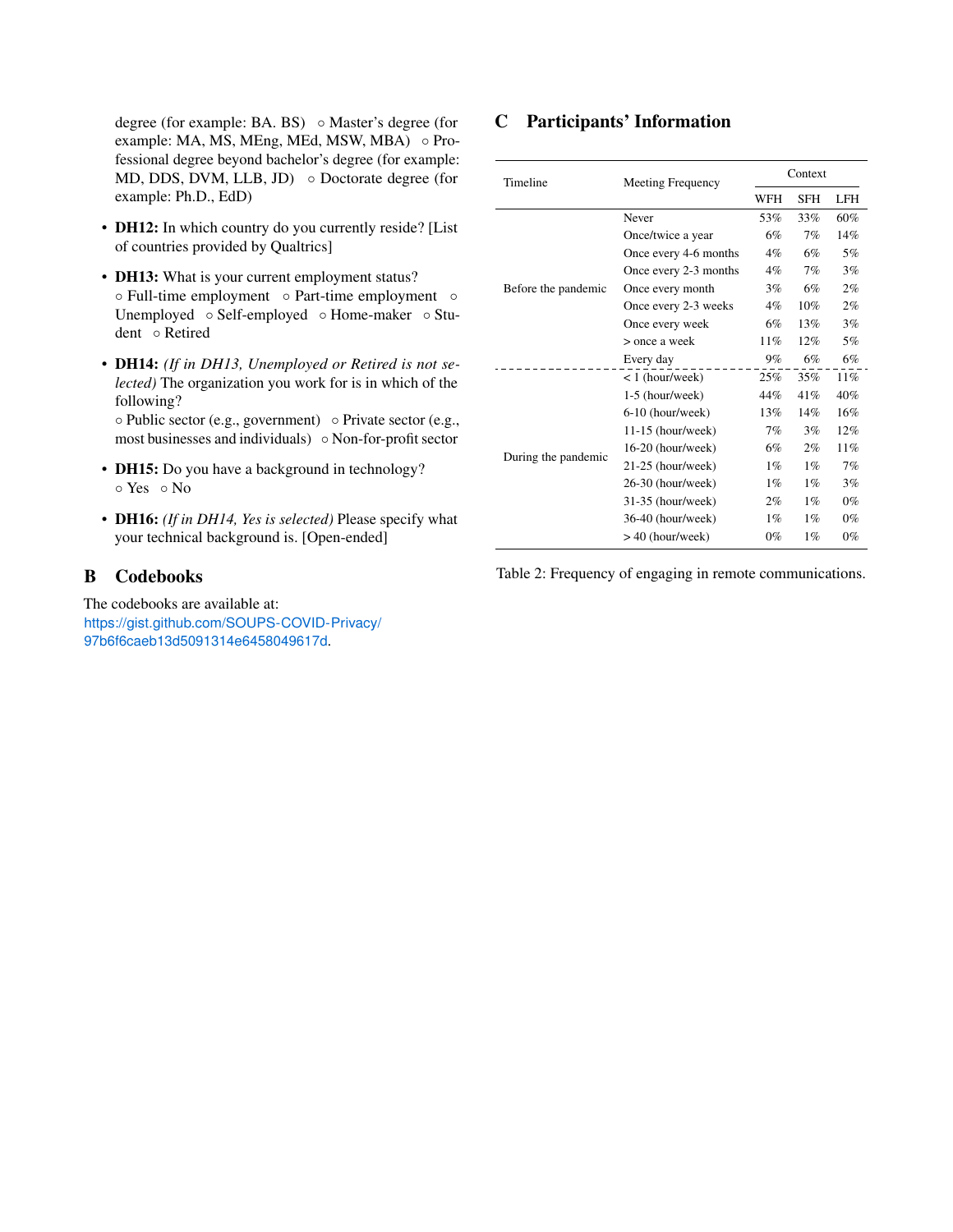degree (for example: BA. BS) ◦ Master's degree (for example: MA, MS, MEng, MEd, MSW, MBA) ◦ Professional degree beyond bachelor's degree (for example: MD, DDS, DVM, LLB, JD) ○ Doctorate degree (for example: Ph.D., EdD)

- DH12: In which country do you currently reside? [List of countries provided by Qualtrics]
- DH13: What is your current employment status? ◦ Full-time employment ◦ Part-time employment ◦ Unemployed ◦ Self-employed ◦ Home-maker ◦ Student ◦ Retired
- DH14: *(If in DH13, Unemployed or Retired is not selected)* The organization you work for is in which of the following?

◦ Public sector (e.g., government) ◦ Private sector (e.g., most businesses and individuals) ◦ Non-for-profit sector

- DH15: Do you have a background in technology? ◦ Yes ◦ No
- DH16: *(If in DH14, Yes is selected)* Please specify what your technical background is. [Open-ended]

## <span id="page-18-0"></span>B Codebooks

The codebooks are available at: [https://gist.github.com/SOUPS-COVID-Privacy/](https://gist.github.com/SOUPS-COVID-Privacy/97b6f6caeb13d5091314e6458049617d) [97b6f6caeb13d5091314e6458049617d](https://gist.github.com/SOUPS-COVID-Privacy/97b6f6caeb13d5091314e6458049617d).

## <span id="page-18-1"></span>C Participants' Information

| Timeline<br>Before the pandemic | Meeting Frequency     | Context                                                                                                                                                                                                                                                                                                     |            |       |  |
|---------------------------------|-----------------------|-------------------------------------------------------------------------------------------------------------------------------------------------------------------------------------------------------------------------------------------------------------------------------------------------------------|------------|-------|--|
|                                 |                       | WFH<br><b>SFH</b><br>53%<br>33%<br>6%<br>7%<br>$4\%$<br>6%<br>$4\%$<br>7%<br>6%<br>3%<br>$4\%$<br>10%<br>6%<br>13%<br>11%<br>12%<br>6%<br>9%<br>25%<br>35%<br>44%<br>41%<br>14%<br>13%<br>7%<br>3%<br>6%<br>$2\%$<br>$1\%$<br>$1\%$<br>$1\%$<br>$1\%$<br>$2\%$<br>$1\%$<br>$1\%$<br>$1\%$<br>$0\%$<br>$1\%$ | <b>LFH</b> |       |  |
|                                 | Never                 |                                                                                                                                                                                                                                                                                                             |            | 60%   |  |
|                                 | Once/twice a year     |                                                                                                                                                                                                                                                                                                             |            | 14%   |  |
|                                 | Once every 4-6 months |                                                                                                                                                                                                                                                                                                             |            | 5%    |  |
|                                 | Once every 2-3 months |                                                                                                                                                                                                                                                                                                             |            | 3%    |  |
|                                 | Once every month      |                                                                                                                                                                                                                                                                                                             |            | 2%    |  |
|                                 | Once every 2-3 weeks  |                                                                                                                                                                                                                                                                                                             |            | 2%    |  |
|                                 | Once every week       |                                                                                                                                                                                                                                                                                                             |            | 3%    |  |
|                                 | > once a week         |                                                                                                                                                                                                                                                                                                             |            | 5%    |  |
|                                 | Every day             |                                                                                                                                                                                                                                                                                                             |            | 6%    |  |
|                                 | $< 1$ (hour/week)     |                                                                                                                                                                                                                                                                                                             |            | 11%   |  |
|                                 | 1-5 (hour/week)       |                                                                                                                                                                                                                                                                                                             |            | 40%   |  |
|                                 | $6-10$ (hour/week)    |                                                                                                                                                                                                                                                                                                             |            | 16%   |  |
|                                 | $11-15$ (hour/week)   |                                                                                                                                                                                                                                                                                                             |            | 12%   |  |
|                                 | 16-20 (hour/week)     |                                                                                                                                                                                                                                                                                                             |            | 11%   |  |
| During the pandemic             | $21-25$ (hour/week)   |                                                                                                                                                                                                                                                                                                             |            | 7%    |  |
|                                 | 26-30 (hour/week)     |                                                                                                                                                                                                                                                                                                             |            | 3%    |  |
|                                 | $31-35$ (hour/week)   |                                                                                                                                                                                                                                                                                                             |            | $0\%$ |  |
|                                 | 36-40 (hour/week)     |                                                                                                                                                                                                                                                                                                             |            | $0\%$ |  |
|                                 | $> 40$ (hour/week)    |                                                                                                                                                                                                                                                                                                             |            | $0\%$ |  |

Table 2: Frequency of engaging in remote communications.